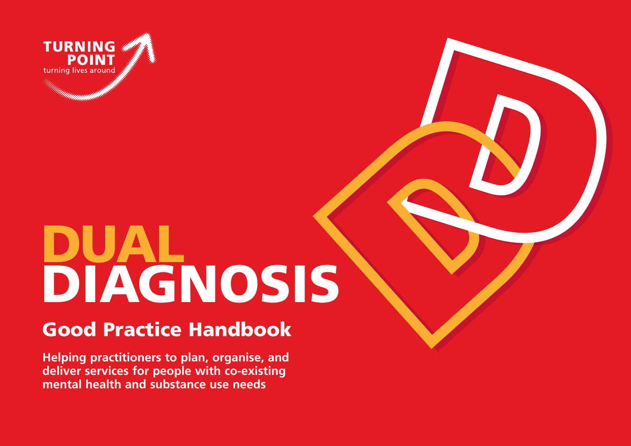

# **DUAL DIAGNOSIS**

# **Good Practice Handbook**

**Helping practitioners to plan, organise, and deliver services for people with co-existing mental health and substance use needs**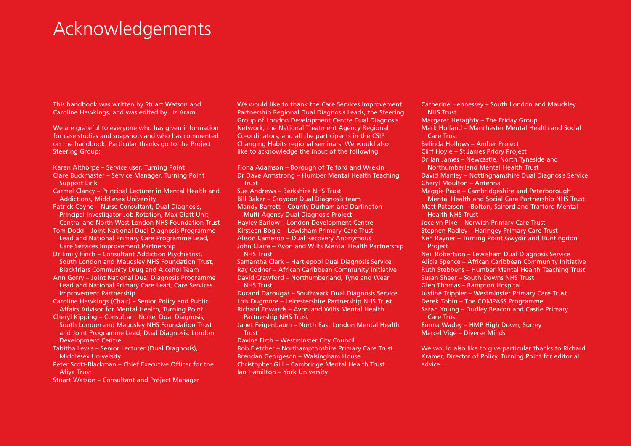# Acknowledgements

This handbook was written by Stuart Watson and Caroline Hawkings, and was edited by Liz Aram.

We are grateful to everyone who has given information for case studies and snapshots and who has commented on the handbook. Particular thanks go to the Project Steering Group:

- Karen Althorpe Service user, Turning Point Clare Buckmaster – Service Manager, Turning Point
- Support Link Carmel Clancy – Principal Lecturer in Mental Health and Addictions, Middlesex University
- Patrick Coyne Nurse Consultant, Dual Diagnosis, Principal Investigator Job Rotation, Max Glatt Unit,
- Central and North West London NHS Foundation TrustTom Dodd – Joint National Dual Diagnosis Programme Lead and National Primary Care Programme Lead,
- Care Services Improvement Partnership
- Dr Emily Finch Consultant Addiction Psychiatrist, South London and Maudsley NHS Foundation Trust, Blackfriars Community Drug and Alcohol Team
- Ann Gorry Joint National Dual Diagnosis Programme Lead and National Primary Care Lead, Care Services Improvement Partnership
- Caroline Hawkings (Chair) Senior Policy and Public Affairs Advisor for Mental Health, Turning Point
- Cheryl Kipping Consultant Nurse, Dual Diagnosis, South London and Maudsley NHS Foundation Trust and Joint Programme Lead, Dual Diagnosis, London Development Centre
- Tabitha Lewis Senior Lecturer (Dual Diagnosis), Middlesex University
- Peter Scott-Blackman Chief Executive Officer for the Afiya Trust
- Stuart Watson Consultant and Project Manager

We would like to thank the Care Services Improvement Partnership Regional Dual Diagnosis Leads, the Steering Group of London Development Centre Dual Diagnosis Network, the National Treatment Agency Regional Co-ordinators, and all the participants in the CSIP Changing Habits regional seminars. We would also like to acknowledge the input of the following:

Fiona Adamson – Borough of Telford and Wrekin Dr Dave Armstrong – Humber Mental Health Teaching **Trust** Sue Andrews – Berkshire NHS TrustBill Baker – Croydon Dual Diagnosis team Mandy Barrett – County Durham and Darlington Multi-Agency Dual Diagnosis Project Hayley Barlow – London Development Centre Kirsteen Bogle – Lewisham Primary Care Trust Alison Cameron – Dual Recovery Anonymous John Claire – Avon and Wilts Mental Health Partnership NHS Trust

Samantha Clark – Hartlepool Dual Diagnosis Service Ray Codner – African Caribbean Community Initiative David Crawford – Northumberland, Tyne and Wear NHS Trust

Durand Darougar – Southwark Dual Diagnosis Service Lois Dugmore – Leicestershire Partnership NHS Trust Richard Edwards – Avon and Wilts Mental Health Partnership NHS Trust

Janet Feigenbaum – North East London Mental Health **Trust** 

Davina Firth – Westminster City Council Bob Fletcher – Northamptonshire Primary Care Trust Brendan Georgeson – Walsingham House Christopher Gill – Cambridge Mental Health Trust Ian Hamilton – York University

Catherine Hennessey – South London and Maudsley NHS TrustMargaret Heraghty – The Friday Group Mark Holland – Manchester Mental Health and Social Care TrustBelinda Hollows – Amber Project Cliff Hoyle – St James Priory Project Dr Ian James – Newcastle, North Tyneside and Northumberland Mental Health TrustDavid Manley – Nottinghamshire Dual Diagnosis Service Cheryl Moulton – Antenna Maggie Page – Cambridgeshire and Peterborough Mental Health and Social Care Partnership NHS Trust Matt Paterson – Bolton, Salford and Trafford Mental Health NHS TrustJocelyn Pike – Norwich Primary Care Trust Stephen Radley – Haringey Primary Care Trust Ken Rayner – Turning Point Gwydir and Huntingdon **Project** Neil Robertson – Lewisham Dual Diagnosis Service Alicia Spence – African Caribbean Community Initiative Ruth Stebbens – Humber Mental Health Teaching Trust Susan Sheer – South Downs NHS TrustGlen Thomas – Rampton Hospital Justine Trippier – Westminster Primary Care Trust Derek Tobin – The COMPASS Programme Sarah Young – Dudley Beacon and Castle Primary Care TrustEmma Wadey – HMP High Down, Surrey Marcel Vige – Diverse Minds

We would also like to give particular thanks to Richard Kramer, Director of Policy, Turning Point for editorial advice.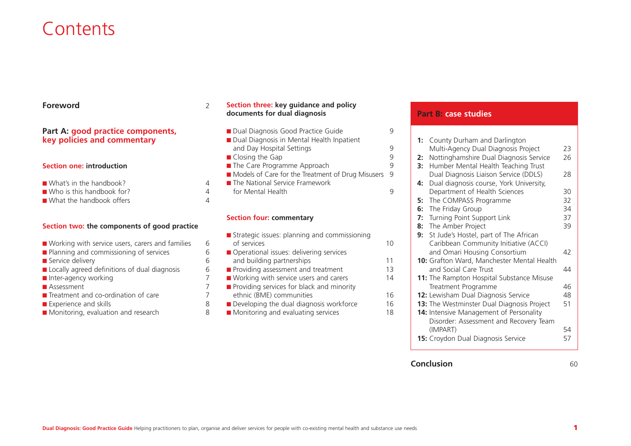# **Contents**

#### **Foreword**d  $\sim$  2

# **Part A: good practice components, key policies and commentary**

#### **Section one: introduction**

- What's in the handbook? 4 ■ Who is this handbook for? 4
- What the handbook offers 4

## **Section two: the components of good practice**

- Working with service users, carers and families 6
- Planning and commissioning of services 6
- Service delivery 6
- Locally agreed definitions of dual diagnosis 6
- Inter-agency working 7
- Assessment 7
- Treatment and co-ordination of care 7
- Experience and skills 8
- Monitoring, evaluation and research 8

### **Section three: key guidance and policy documents for dual diagnosis**

■ Dual Diagnosis Good Practice Guide 9 ■ Dual Diagnosis in Mental Health Inpatient and Day Hospital Settings and Day Hospital Settings ■ Closing the Gap 9 ■ The Care Programme Approach 9 ■ Models of Care for the Treatment of Drug Misusers 9 ■ The National Service Framework for Mental Health 9

## **Section four: commentary**

| Strategic issues: planning and commissioning |    |
|----------------------------------------------|----|
| of services                                  | 10 |
| Operational issues: delivering services      |    |
| and building partnerships                    | 11 |
| Providing assessment and treatment           | 13 |
| ■ Working with service users and carers      | 14 |
| Providing services for black and minority    |    |
| ethnic (BME) communities                     | 16 |
| Developing the dual diagnosis workforce      | 16 |
| Monitoring and evaluating services           | 18 |
|                                              |    |

# **Part B: case studies**

| Nottinghamshire Dual Diagnosis Service<br>26<br>2:<br>Humber Mental Health Teaching Trust<br>3:<br>Dual Diagnosis Liaison Service (DDLS)<br>28<br>Dual diagnosis course, York University,<br>4:<br>Department of Health Sciences<br>30<br>32<br>The COMPASS Programme<br>5:<br>The Friday Group<br>6:<br>Turning Point Support Link<br>37<br>7:<br>8: The Amber Project<br>39<br>9: St Jude's Hostel, part of The African<br>Caribbean Community Initiative (ACCI)<br>and Omari Housing Consortium<br>42<br>10: Grafton Ward, Manchester Mental Health<br>and Social Care Trust<br>44<br>11: The Rampton Hospital Substance Misuse<br>Treatment Programme<br>46<br>12: Lewisham Dual Diagnosis Service<br>48<br>13: The Westminster Dual Diagnosis Project<br>51<br>14: Intensive Management of Personality<br>Disorder: Assessment and Recovery Team<br>(IMPART)<br>15: Croydon Dual Diagnosis Service<br>57 | 1: | County Durham and Darlington        |    |
|---------------------------------------------------------------------------------------------------------------------------------------------------------------------------------------------------------------------------------------------------------------------------------------------------------------------------------------------------------------------------------------------------------------------------------------------------------------------------------------------------------------------------------------------------------------------------------------------------------------------------------------------------------------------------------------------------------------------------------------------------------------------------------------------------------------------------------------------------------------------------------------------------------------|----|-------------------------------------|----|
|                                                                                                                                                                                                                                                                                                                                                                                                                                                                                                                                                                                                                                                                                                                                                                                                                                                                                                               |    | Multi-Agency Dual Diagnosis Project | 23 |
|                                                                                                                                                                                                                                                                                                                                                                                                                                                                                                                                                                                                                                                                                                                                                                                                                                                                                                               |    |                                     |    |
|                                                                                                                                                                                                                                                                                                                                                                                                                                                                                                                                                                                                                                                                                                                                                                                                                                                                                                               |    |                                     |    |
|                                                                                                                                                                                                                                                                                                                                                                                                                                                                                                                                                                                                                                                                                                                                                                                                                                                                                                               |    |                                     |    |
|                                                                                                                                                                                                                                                                                                                                                                                                                                                                                                                                                                                                                                                                                                                                                                                                                                                                                                               |    |                                     |    |
|                                                                                                                                                                                                                                                                                                                                                                                                                                                                                                                                                                                                                                                                                                                                                                                                                                                                                                               |    |                                     |    |
|                                                                                                                                                                                                                                                                                                                                                                                                                                                                                                                                                                                                                                                                                                                                                                                                                                                                                                               |    |                                     |    |
|                                                                                                                                                                                                                                                                                                                                                                                                                                                                                                                                                                                                                                                                                                                                                                                                                                                                                                               |    |                                     | 34 |
|                                                                                                                                                                                                                                                                                                                                                                                                                                                                                                                                                                                                                                                                                                                                                                                                                                                                                                               |    |                                     |    |
|                                                                                                                                                                                                                                                                                                                                                                                                                                                                                                                                                                                                                                                                                                                                                                                                                                                                                                               |    |                                     |    |
|                                                                                                                                                                                                                                                                                                                                                                                                                                                                                                                                                                                                                                                                                                                                                                                                                                                                                                               |    |                                     |    |
|                                                                                                                                                                                                                                                                                                                                                                                                                                                                                                                                                                                                                                                                                                                                                                                                                                                                                                               |    |                                     |    |
|                                                                                                                                                                                                                                                                                                                                                                                                                                                                                                                                                                                                                                                                                                                                                                                                                                                                                                               |    |                                     |    |
|                                                                                                                                                                                                                                                                                                                                                                                                                                                                                                                                                                                                                                                                                                                                                                                                                                                                                                               |    |                                     |    |
|                                                                                                                                                                                                                                                                                                                                                                                                                                                                                                                                                                                                                                                                                                                                                                                                                                                                                                               |    |                                     |    |
|                                                                                                                                                                                                                                                                                                                                                                                                                                                                                                                                                                                                                                                                                                                                                                                                                                                                                                               |    |                                     |    |
|                                                                                                                                                                                                                                                                                                                                                                                                                                                                                                                                                                                                                                                                                                                                                                                                                                                                                                               |    |                                     |    |
|                                                                                                                                                                                                                                                                                                                                                                                                                                                                                                                                                                                                                                                                                                                                                                                                                                                                                                               |    |                                     |    |
|                                                                                                                                                                                                                                                                                                                                                                                                                                                                                                                                                                                                                                                                                                                                                                                                                                                                                                               |    |                                     |    |
|                                                                                                                                                                                                                                                                                                                                                                                                                                                                                                                                                                                                                                                                                                                                                                                                                                                                                                               |    |                                     |    |
|                                                                                                                                                                                                                                                                                                                                                                                                                                                                                                                                                                                                                                                                                                                                                                                                                                                                                                               |    |                                     |    |
|                                                                                                                                                                                                                                                                                                                                                                                                                                                                                                                                                                                                                                                                                                                                                                                                                                                                                                               |    |                                     |    |
|                                                                                                                                                                                                                                                                                                                                                                                                                                                                                                                                                                                                                                                                                                                                                                                                                                                                                                               |    |                                     | 54 |
|                                                                                                                                                                                                                                                                                                                                                                                                                                                                                                                                                                                                                                                                                                                                                                                                                                                                                                               |    |                                     |    |
|                                                                                                                                                                                                                                                                                                                                                                                                                                                                                                                                                                                                                                                                                                                                                                                                                                                                                                               |    |                                     |    |

## **Conclusion**

 $\mathsf{n}$  60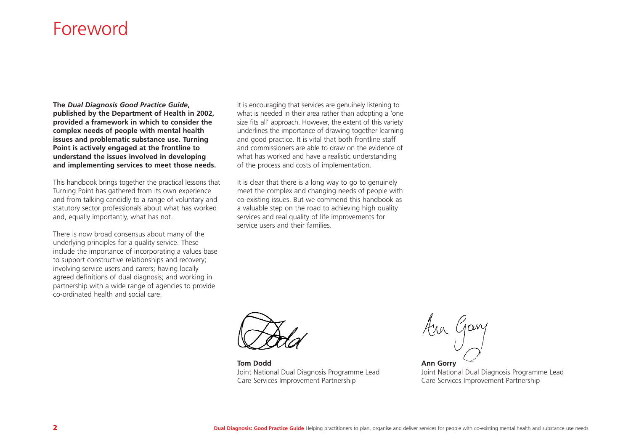# Foreword

**The** *Dual Diagnosis Good Practice Guide***, published by the Department of Health in 2002, provided a framework in which to consider the complex needs of people with mental health issues and problematic substance use. Turning Point is actively engaged at the frontline to understand the issues involved in developing and implementing services to meet those needs.** 

This handbook brings together the practical lessons that Turning Point has gathered from its own experience and from talking candidly to a range of voluntary and statutory sector professionals about what has worked and, equally importantly, what has not.

There is now broad consensus about many of the underlying principles for a quality service. These include the importance of incorporating a values base to support constructive relationships and recovery; involving service users and carers; having locally agreed definitions of dual diagnosis; and working in partnership with a wide range of agencies to provide co-ordinated health and social care.

It is encouraging that services are genuinely listening to what is needed in their area rather than adopting a 'one size fits all' approach. However, the extent of this variety underlines the importance of drawing together learning and good practice. It is vital that both frontline staff and commissioners are able to draw on the evidence ofwhat has worked and have a realistic understanding of the process and costs of implementation.

It is clear that there is a long way to go to genuinely meet the complex and changing needs of people with co-existing issues. But we commend this handbook as a valuable step on the road to achieving high quality services and real quality of life improvements for service users and their families.



**Tom Dodd**Joint National Dual Diagnosis Programme Lead Care Services Improvement Partnership

Aua Gary

**Ann Gorry** Joint National Dual Diagnosis Programme Lead Care Services Improvement Partnership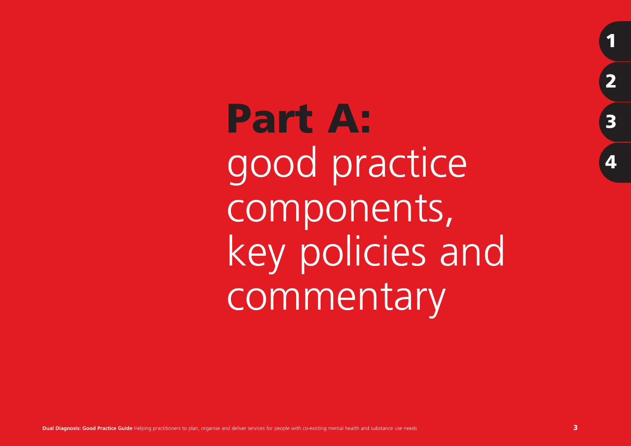**Part A:** good practice components, key policies and commentary

**1**

**2**

**3**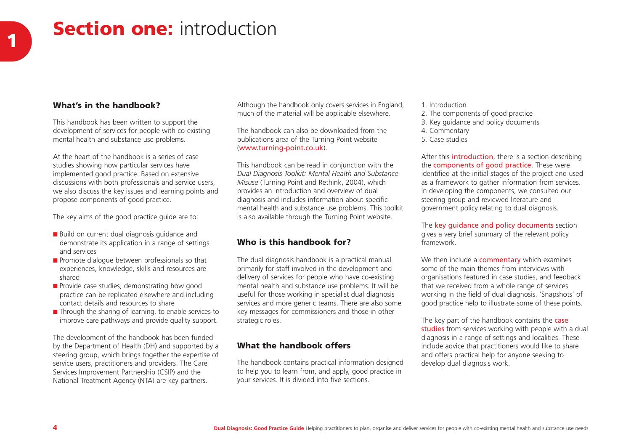# **Section one:** introduction **1**

# **What's in the handbook?**

This handbook has been written to support the development of services for people with co-existing mental health and substance use problems.

At the heart of the handbook is a series of casestudies showing how particular services have implemented good practice. Based on extensive discussions with both professionals and service users, we also discuss the key issues and learning points and propose components of good practice.

The key aims of the good practice guide are to:

- Build on current dual diagnosis guidance and demonstrate its application in a range of settings and services
- Promote dialogue between professionals so that experiences, knowledge, skills and resources are shared
- Provide case studies, demonstrating how good practice can be replicated elsewhere and including contact details and resources to share
- Through the sharing of learning, to enable services to improve care pathways and provide quality support.

The development of the handbook has been funded by the Department of Health (DH) and supported by a steering group, which brings together the expertise of service users, practitioners and providers. The Care Services Improvement Partnership (CSIP) and the National Treatment Agency (NTA) are key partners.

Although the handbook only covers services in England, much of the material will be applicable elsewhere.

The handbook can also be downloaded from thepublications area of the Turning Point website (www.turning-point.co.uk).

This handbook can be read in conjunction with the *Dual Diagnosis Toolkit: Mental Health and Substance Misuse* (Turning Point and Rethink, 2004), which provides an introduction and overview of dual diagnosis and includes information about specific mental health and substance use problems. This toolkit is also available through the Turning Point website.

# **Who is this handbook for?**

The dual diagnosis handbook is a practical manual primarily for staff involved in the development and delivery of services for people who have co-existing mental health and substance use problems. It will be useful for those working in specialist dual diagnosis services and more generic teams. There are also some key messages for commissioners and those in other strategic roles.

## **What the handbook offers**

The handbook contains practical information designed to help you to learn from, and apply, good practice in your services. It is divided into five sections.

- 1. Introduction
- 2. The components of good practice
- 3. Key guidance and policy documents
- 4. Commentary
- 5. Case studies

After this **introduction**, there is a section describing the **components of good practice**. These were identified at the initial stages of the project and used as a framework to gather information from services. In developing the components, we consulted our steering group and reviewed literature and government policy relating to dual diagnosis.

The key quidance and policy documents section gives a very brief summary of the relevant policy framework.

We then include a **commentary** which examines some of the main themes from interviews withorganisations featured in case studies, and feedback that we received from a whole range of services working in the field of dual diagnosis. 'Snapshots' of good practice help to illustrate some of these points.

The key part of the handbook contains the case **studies** from services working with people with a dual diagnosis in a range of settings and localities. These include advice that practitioners would like to share and offers practical help for anyone seeking to develop dual diagnosis work.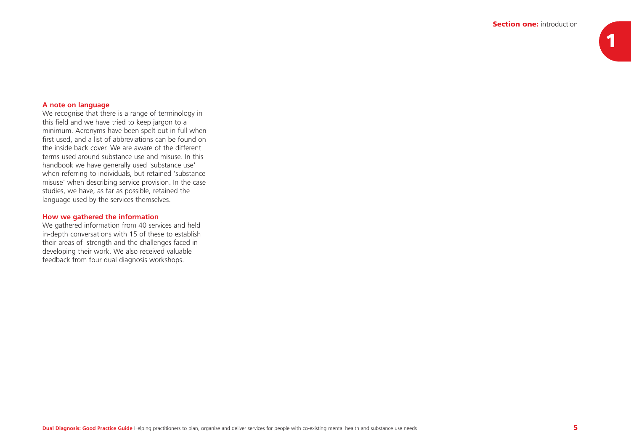# **A note on language**

We recognise that there is a range of terminology in this field and we have tried to keep jargon to a minimum. Acronyms have been spelt out in full when first used, and a list of abbreviations can be found on the inside back cover. We are aware of the differentterms used around substance use and misuse. In thishandbook we have generally used 'substance use' when referring to individuals, but retained 'substance misuse' when describing service provision. In the case studies, we have, as far as possible, retained the language used by the services themselves.

### **How we gathered the information**

We gathered information from 40 services and held in-depth conversations with 15 of these to establish their areas of strength and the challenges faced in developing their work. We also received valuable feedback from four dual diagnosis workshops.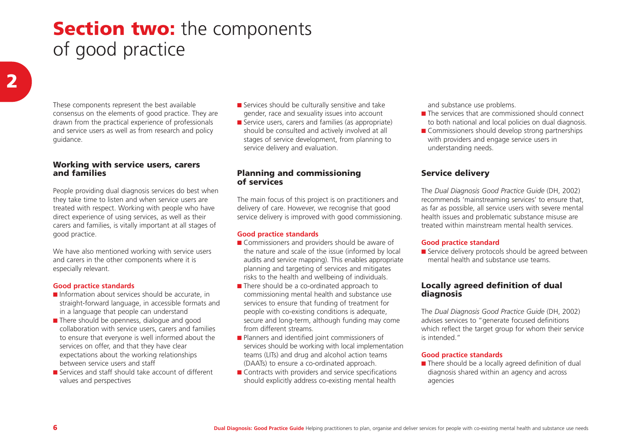# **Section two:** the components of good practice

These components represent the best available consensus on the elements of good practice. They are drawn from the practical experience of professionals and service users as well as from research and policy guidance.

### **Working with service users, carers and families**

People providing dual diagnosis services do best when they take time to listen and when service users are treated with respect. Working with people who have direct experience of using services, as well as their carers and families, is vitally important at all stages of good practice.

We have also mentioned working with service users and carers in the other components where it is especially relevant.

## **Good practice standards**

- Information about services should be accurate, in straight-forward language, in accessible formats and in a language that people can understand
- There should be openness, dialogue and good collaboration with service users, carers and families to ensure that everyone is well informed about the services on offer, and that they have clear expectations about the working relationships between service users and staff
- Services and staff should take account of different values and perspectives
- Services should be culturally sensitive and take gender, race and sexuality issues into account
- Service users, carers and families (as appropriate) should be consulted and actively involved at all stages of service development, from planning to service delivery and evaluation.

# **Planning and commissioning of services**

The main focus of this project is on practitioners and delivery of care. However, we recognise that good service delivery is improved with good commissioning.

## **Good practice standards**

- Commissioners and providers should be aware of the nature and scale of the issue (informed by local audits and service mapping). This enables appropriate planning and targeting of services and mitigates risks to the health and wellbeing of individuals.
- There should be a co-ordinated approach to commissioning mental health and substance use services to ensure that funding of treatment for people with co-existing conditions is adequate, secure and long-term, although funding may come from different streams.
- Planners and identified joint commissioners of services should be working with local implementation teams (LITs) and drug and alcohol action teams (DAATs) to ensure a co-ordinated approach.
- Contracts with providers and service specifications should explicitly address co-existing mental health

and substance use problems.

- The services that are commissioned should connect to both national and local policies on dual diagnosis.
- Commissioners should develop strong partnerships with providers and engage service users in understanding needs.

# **Service delivery**

The *Dual Diagnosis Good Practice Guide* (DH, 2002) recommends 'mainstreaming services' to ensure that, as far as possible, all service users with severe mental health issues and problematic substance misuse are treated within mainstream mental health services.

#### **Good practice standard**

■ Service delivery protocols should be agreed between mental health and substance use teams.

# **Locally agreed definition of dual diagnosis**

The *Dual Diagnosis Good Practice Guide* (DH, 2002) advises services to "generate focused definitions which reflect the target group for whom their service is intended."

## **Good practice standards**

■ There should be a locally agreed definition of dual diagnosis shared within an agency and across agencies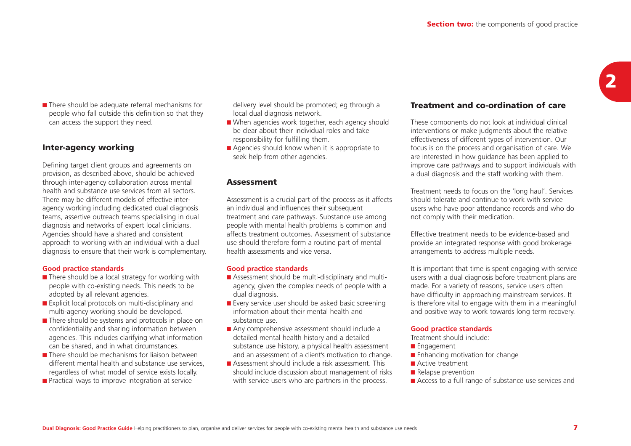■ There should be adequate referral mechanisms for people who fall outside this definition so that they can access the support they need.

# **Inter-agency working**

Defining target client groups and agreements on provision, as described above, should be achieved through inter-agency collaboration across mental health and substance use services from all sectors.There may be different models of effective interagency working including dedicated dual diagnosis teams, assertive outreach teams specialising in dual diagnosis and networks of expert local clinicians. Agencies should have a shared and consistent approach to working with an individual with a dual diagnosis to ensure that their work is complementary.

#### **Good practice standards**

- There should be a local strategy for working with people with co-existing needs. This needs to be adopted by all relevant agencies.
- Explicit local protocols on multi-disciplinary and multi-agency working should be developed.
- There should be systems and protocols in place on confidentiality and sharing information between agencies. This includes clarifying what information can be shared, and in what circumstances.
- There should be mechanisms for liaison between different mental health and substance use services, regardless of what model of service exists locally.
- Practical ways to improve integration at service

delivery level should be promoted; eg through a local dual diagnosis network.

- When agencies work together, each agency should be clear about their individual roles and takeresponsibility for fulfilling them.
- Agencies should know when it is appropriate to seek help from other agencies.

## **Assessment**

Assessment is a crucial part of the process as it affects an individual and influences their subsequent treatment and care pathways. Substance use among people with mental health problems is common and affects treatment outcomes. Assessment of substanceuse should therefore form a routine part of mental health assessments and vice versa.

#### **Good practice standards**

- Assessment should be multi-disciplinary and multiagency, given the complex needs of people with a dual diagnosis.
- Every service user should be asked basic screening information about their mental health andsubstance use.
- Any comprehensive assessment should include a detailed mental health history and a detailed substance use history, a physical health assessment and an assessment of a client's motivation to change.
- Assessment should include a risk assessment. This should include discussion about management of risks with service users who are partners in the process.

# **Treatment and co-ordination of care**

These components do not look at individual clinical interventions or make judgments about the relative effectiveness of different types of intervention. Our focus is on the process and organisation of care. We are interested in how guidance has been applied to improve care pathways and to support individuals with a dual diagnosis and the staff working with them.

Treatment needs to focus on the 'long haul'. Services should tolerate and continue to work with serviceusers who have poor attendance records and who do not comply with their medication.

Effective treatment needs to be evidence-based andprovide an integrated response with good brokerage arrangements to address multiple needs.

It is important that time is spent engaging with service users with a dual diagnosis before treatment plans are made. For a variety of reasons, service users often have difficulty in approaching mainstream services. It is therefore vital to engage with them in a meaningful and positive way to work towards long term recovery.

#### **Good practice standards**

Treatment should include:

- Engagement
- Enhancing motivation for change
- Active treatment
- Relapse prevention
- Access to a full range of substance use services and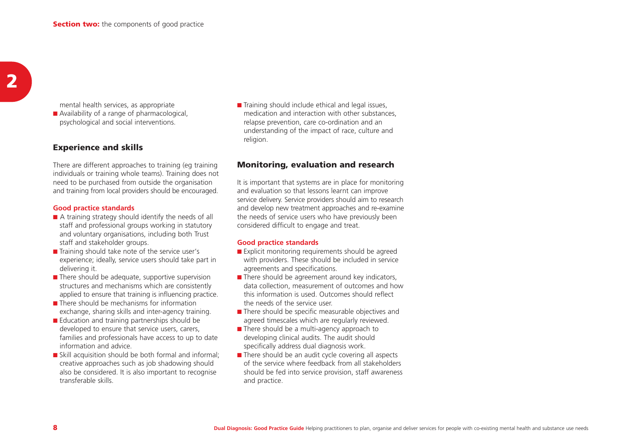mental health services, as appropriate ■ Availability of a range of pharmacological, psychological and social interventions.

# **Experience and skills**

There are different approaches to training (eg training individuals or training whole teams). Training does not need to be purchased from outside the organisation and training from local providers should be encouraged.

#### **Good practice standards**

- A training strategy should identify the needs of all staff and professional groups working in statutory and voluntary organisations, including both Trust staff and stakeholder groups.
- Training should take note of the service user's experience; ideally, service users should take part in delivering it.
- There should be adequate, supportive supervision structures and mechanisms which are consistently applied to ensure that training is influencing practice.
- There should be mechanisms for information exchange, sharing skills and inter-agency training.
- Education and training partnerships should be developed to ensure that service users, carers, families and professionals have access to up to date information and advice.
- Skill acquisition should be both formal and informal; creative approaches such as job shadowing should also be considered. It is also important to recognise transferable skills.

■ Training should include ethical and legal issues, medication and interaction with other substances, relapse prevention, care co-ordination and an understanding of the impact of race, culture and religion.

### **Monitoring, evaluation and research**

It is important that systems are in place for monitoring and evaluation so that lessons learnt can improve service delivery. Service providers should aim to research and develop new treatment approaches and re-examine the needs of service users who have previously been considered difficult to engage and treat.

#### **Good practice standards**

- Explicit monitoring requirements should be agreed with providers. These should be included in service agreements and specifications.
- $\blacksquare$  There should be agreement around key indicators, data collection, measurement of outcomes and how this information is used. Outcomes should reflectthe needs of the service user.
- There should be specific measurable objectives and agreed timescales which are regularly reviewed.
- There should be a multi-agency approach to developing clinical audits. The audit should specifically address dual diagnosis work.
- There should be an audit cycle covering all aspects of the service where feedback from all stakeholdersshould be fed into service provision, staff awareness and practice.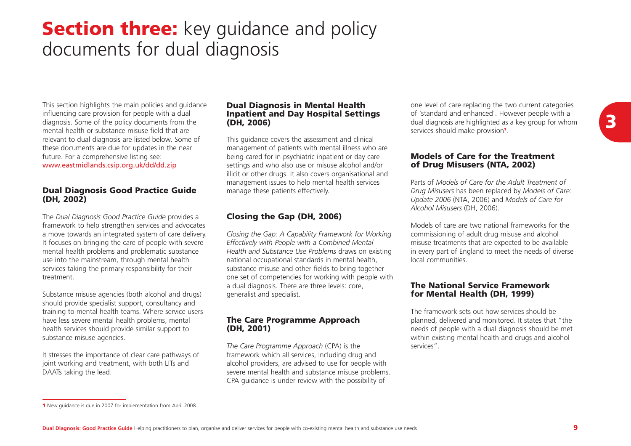# **Section three:** key guidance and policy documents for dual diagnosis

This section highlights the main policies and guidance influencing care provision for people with a dual diagnosis. Some of the policy documents from the mental health or substance misuse field that arerelevant to dual diagnosis are listed below. Some of these documents are due for updates in the near future. For a comprehensive listing see: www.eastmidlands.csip.org.uk/dd/dd.zip

### **Dual Diagnosis Good Practice Guide (DH, 2002)**

The *Dual Diagnosis Good Practice Guide* provides a framework to help strengthen services and advocates a move towards an integrated system of care delivery. It focuses on bringing the care of people with severe mental health problems and problematic substance use into the mainstream, through mental health services taking the primary responsibility for their treatment.

Substance misuse agencies (both alcohol and drugs) should provide specialist support, consultancy and training to mental health teams. Where service users have less severe mental health problems, mental health services should provide similar support to substance misuse agencies.

It stresses the importance of clear care pathways of joint working and treatment, with both LITs and DAATs taking the lead.

### **Dual Diagnosis in Mental Health Inpatient and Day Hospital Settings (DH, 2006)**

This guidance covers the assessment and clinical management of patients with mental illness who are being cared for in psychiatric inpatient or day care settings and who also use or misuse alcohol and/or illicit or other drugs. It also covers organisational and management issues to help mental health services manage these patients effectively.

# **Closing the Gap (DH, 2006)**

*Closing the Gap: A Capability Framework for Working Effectively with People with a Combined Mental Health and Substance Use Problems* draws on existing national occupational standards in mental health, substance misuse and other fields to bring together one set of competencies for working with people with a dual diagnosis. There are three levels: core, generalist and specialist.

## **The Care Programme Approach (DH, 2001)**

*The Care Programme Approach* (CPA) is the framework which all services, including drug and alcohol providers, are advised to use for people with severe mental health and substance misuse problems. CPA guidance is under review with the possibility of

one level of care replacing the two current categories of 'standard and enhanced'. However people with a dual diagnosis are highlighted as a key group for whom services should make provision**<sup>1</sup>**.

# **Models of Care for the Treatment of Drug Misusers (NTA, 2002)**

Parts of *Models of Care for the Adult Treatment ofDrug Misusers* has been replaced by *Models of Care: Update 2006* (NTA, 2006) and *Models of Care for Alcohol Misusers* (DH, 2006).

Models of care are two national frameworks for thecommissioning of adult drug misuse and alcohol misuse treatments that are expected to be available in every part of England to meet the needs of diverse local communities.

## **The National Service Framework for Mental Health (DH, 1999)**

The framework sets out how services should beplanned, delivered and monitored. It states that "the needs of people with a dual diagnosis should be met within existing mental health and drugs and alcohol services".

**<sup>3</sup>**

**<sup>1</sup>** New guidance is due in 2007 for implementation from April 2008.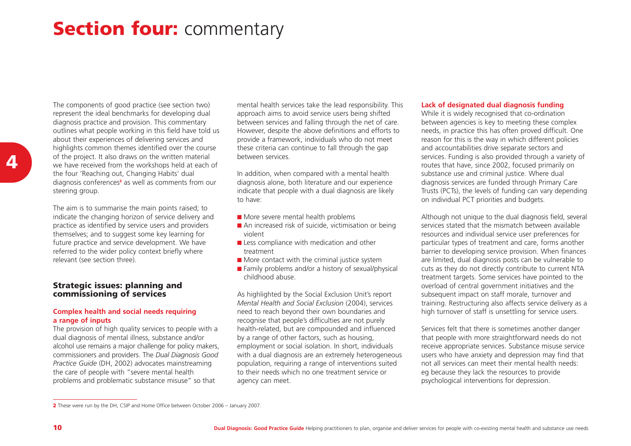# **Section four:** commentary

The components of good practice (see section two) represent the ideal benchmarks for developing dual diagnosis practice and provision. This commentary outlines what people working in this field have told us about their experiences of delivering services and highlights common themes identified over the course of the project. It also draws on the written material we have received from the workshops held at each of the four 'Reaching out, Changing Habits' dual diagnosis conferences**<sup>2</sup>** as well as comments from our steering group.

The aim is to summarise the main points raised; to indicate the changing horizon of service delivery and practice as identified by service users and providers themselves; and to suggest some key learning for future practice and service development. We have referred to the wider policy context briefly where relevant (see section three).

### **Strategic issues: planning and commissioning of services**

#### **Complex health and social needs requiring a range of inputs**

The provision of high quality services to people with a dual diagnosis of mental illness, substance and/or alcohol use remains a major challenge for policy makers, commissioners and providers. The *Dual Diagnosis Good Practice Guide* (DH, 2002) advocates mainstreaming the care of people with "severe mental health problems and problematic substance misuse" so that

mental health services take the lead responsibility. This approach aims to avoid service users being shifted between services and falling through the net of care. However, despite the above definitions and efforts to provide a framework, individuals who do not meet these criteria can continue to fall through the gap between services.

In addition, when compared with a mental health diagnosis alone, both literature and our experience indicate that people with a dual diagnosis are likely to have:

- More severe mental health problems
- An increased risk of suicide, victimisation or being violent
- Less compliance with medication and other treatment
- More contact with the criminal justice system
- Family problems and/or a history of sexual/physical childhood abuse.

As highlighted by the Social Exclusion Unit's report *Mental Health and Social Exclusion* (2004), services need to reach beyond their own boundaries and recognise that people's difficulties are not purely health-related, but are compounded and influenced by a range of other factors, such as housing, employment or social isolation. In short, individuals with a dual diagnosis are an extremely heterogeneous population, requiring a range of interventions suited to their needs which no one treatment service oragency can meet.

#### **Lack of designated dual diagnosis funding**

While it is widely recognised that co-ordination between agencies is key to meeting these complex needs, in practice this has often proved difficult. One reason for this is the way in which different policies and accountabilities drive separate sectors and services. Funding is also provided through a variety of routes that have, since 2002, focused primarily on substance use and criminal justice. Where dual diagnosis services are funded through Primary Care Trusts (PCTs), the levels of funding can vary depending on individual PCT priorities and budgets.

Although not unique to the dual diagnosis field, several services stated that the mismatch between availableresources and individual service user preferences for particular types of treatment and care, forms another barrier to developing service provision. When finances are limited, dual diagnosis posts can be vulnerable to cuts as they do not directly contribute to current NTA treatment targets. Some services have pointed to the overload of central government initiatives and the subsequent impact on staff morale, turnover and training. Restructuring also affects service delivery as a high turnover of staff is unsettling for service users.

Services felt that there is sometimes another danger that people with more straightforward needs do not receive appropriate services. Substance misuse service users who have anxiety and depression may find that not all services can meet their mental health needs: eg because they lack the resources to provide psychological interventions for depression.

**<sup>2</sup>** These were run by the DH, CSIP and Home Office between October 2006 – January 2007.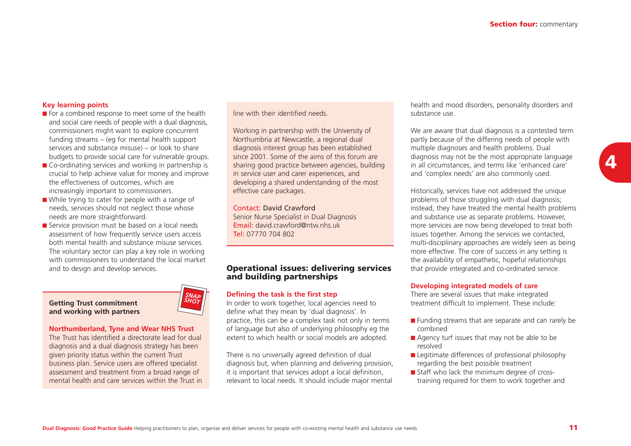#### **Key learning points**

- For a combined response to meet some of the health and social care needs of people with a dual diagnosis, commissioners might want to explore concurrent funding streams – (eg for mental health support services and substance misuse) – or look to share budgets to provide social care for vulnerable groups.
- Co-ordinating services and working in partnership is crucial to help achieve value for money and improve the effectiveness of outcomes, which are increasingly important to commissioners.
- While trying to cater for people with a range of needs, services should not neglect those whose needs are more straightforward.
- Service provision must be based on a local needs assessment of how frequently service users access both mental health and substance misuse services.The voluntary sector can play a key role in working with commissioners to understand the local market and to design and develop services.

#### **Getting Trust commitment and working with partners**

#### **Northumberland, Tyne and Wear NHS Trust**

The Trust has identified a directorate lead for dualdiagnosis and a dual diagnosis strategy has been given priority status within the current Trust business plan. Service users are offered specialist assessment and treatment from a broad range of mental health and care services within the Trust in line with their identified needs.

Working in partnership with the University of Northumbria at Newcastle, a regional dual diagnosis interest group has been established since 2001. Some of the aims of this forum aresharing good practice between agencies, building in service user and carer experiences, and developing a shared understanding of the most effective care packages.

#### Contact: David Crawford

Senior Nurse Specialist in Dual Diagnosis Email: david.crawford@ntw.nhs.ukTel: 07770 704 802

#### **Operational issues: delivering services and building partnerships**

#### **Defining the task is the first step**

In order to work together, local agencies need to define what they mean by 'dual diagnosis'. In practice, this can be a complex task not only in terms of language but also of underlying philosophy eg the extent to which health or social models are adopted.

There is no universally agreed definition of dual diagnosis but, when planning and delivering provision, it is important that services adopt a local definition, relevant to local needs. It should include major mental

health and mood disorders, personality disorders and substance use.

We are aware that dual diagnosis is a contested term partly because of the differing needs of people with multiple diagnoses and health problems. Dual diagnosis may not be the most appropriate language in all circumstances, and terms like 'enhanced care' and 'complex needs' are also commonly used.

Historically, services have not addressed the unique problems of those struggling with dual diagnosis; instead, they have treated the mental health problems and substance use as separate problems. However, more services are now being developed to treat both issues together. Among the services we contacted, multi-disciplinary approaches are widely seen as being more effective. The core of success in any setting is the availability of empathetic, hopeful relationships that provide integrated and co-ordinated service.

#### **Developing integrated models of care**

There are several issues that make integrated treatment difficult to implement. These include:

- Funding streams that are separate and can rarely be combined
- Agency turf issues that may not be able to be resolved
- Legitimate differences of professional philosophy regarding the best possible treatment
- Staff who lack the minimum degree of crosstraining required for them to work together and

*SNAP SHOT*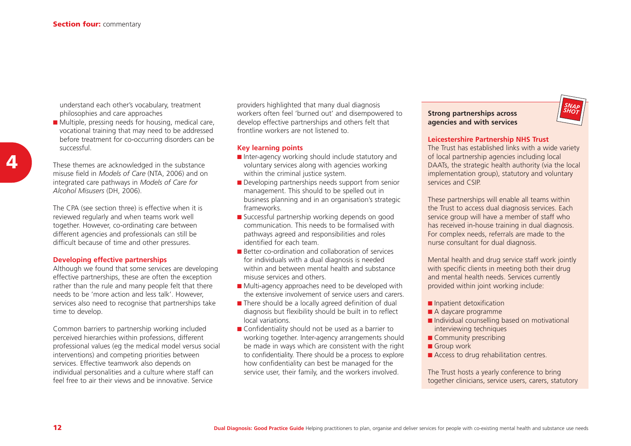understand each other's vocabulary, treatment philosophies and care approaches

■ Multiple, pressing needs for housing, medical care, vocational training that may need to be addressed before treatment for co-occurring disorders can be successful.

These themes are acknowledged in the substance misuse field in *Models of Care* (NTA, 2006) and on integrated care pathways in *Models of Care for Alcohol Misusers* (DH, 2006).

The CPA (see section three) is effective when it is reviewed regularly and when teams work well together. However, co-ordinating care between different agencies and professionals can still be difficult because of time and other pressures.

#### **Developing effective partnerships**

Although we found that some services are developing effective partnerships, these are often the exception rather than the rule and many people felt that there needs to be 'more action and less talk'. However, services also need to recognise that partnerships take time to develop.

Common barriers to partnership working included perceived hierarchies within professions, different professional values (eg the medical model versus social interventions) and competing priorities between services. Effective teamwork also depends on individual personalities and a culture where staff can feel free to air their views and be innovative. Service

providers highlighted that many dual diagnosis workers often feel 'burned out' and disempowered to develop effective partnerships and others felt that frontline workers are not listened to.

#### **Key learning points**

- Inter-agency working should include statutory and voluntary services along with agencies working within the criminal justice system.
- Developing partnerships needs support from senior management. This should to be spelled out in business planning and in an organisation's strategic frameworks.
- Successful partnership working depends on good communication. This needs to be formalised withpathways agreed and responsibilities and roles identified for each team.
- Better co-ordination and collaboration of services for individuals with a dual diagnosis is needed within and between mental health and substancemisuse services and others.
- Multi-agency approaches need to be developed with the extensive involvement of service users and carers.
- There should be a locally agreed definition of dual diagnosis but flexibility should be built in to reflect local variations.
- Confidentiality should not be used as a barrier to working together. Inter-agency arrangements should be made in ways which are consistent with the right to confidentiality. There should be a process to explore how confidentiality can best be managed for the service user, their family, and the workers involved.

**Strong partnerships across agencies and with services**



#### **Leicestershire Partnership NHS Trust**

The Trust has established links with a wide variety of local partnership agencies including local DAATs, the strategic health authority (via the local implementation group), statutory and voluntary services and CSIP.

These partnerships will enable all teams within the Trust to access dual diagnosis services. Each service group will have a member of staff who has received in-house training in dual diagnosis. For complex needs, referrals are made to the nurse consultant for dual diagnosis.

Mental health and drug service staff work jointly with specific clients in meeting both their drug and mental health needs. Services currently provided within joint working include:

- Inpatient detoxification
- A daycare programme
- Individual counselling based on motivational interviewing techniques
- Community prescribing
- Group work
- Access to drug rehabilitation centres.

The Trust hosts a yearly conference to bring together clinicians, service users, carers, statutory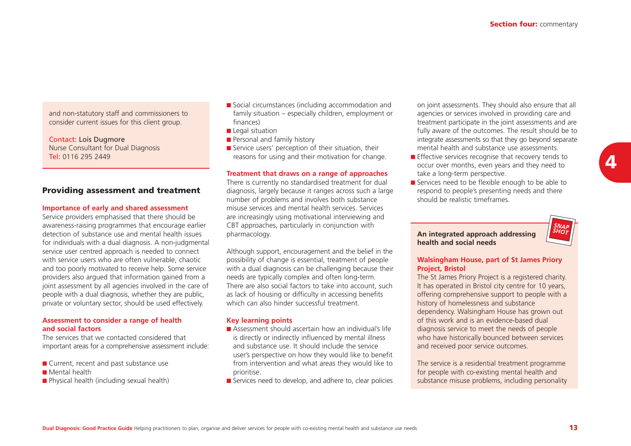and non-statutory staff and commissioners to consider current issues for this client group.

Contact: Lois Dugmore Nurse Consultant for Dual Diagnosis Tel: 0116 295 2449

# **Providing assessment and treatment**

#### **Importance of early and shared assessment**

Service providers emphasised that there should be awareness-raising programmes that encourage earlier detection of substance use and mental health issuesfor individuals with a dual diagnosis. A non-judgmental service user centred approach is needed to connect with service users who are often vulnerable, chaotic and too poorly motivated to receive help. Some service providers also argued that information gained from a joint assessment by all agencies involved in the care of people with a dual diagnosis, whether they are public, private or voluntary sector, should be used effectively.

#### **Assessment to consider a range of health and social factors**

The services that we contacted considered thatimportant areas for a comprehensive assessment include:

- Current, recent and past substance use
- Mental health
- Physical health (including sexual health)
- Social circumstances (including accommodation and family situation – especially children, employment or finances)
- Legal situation
- Personal and family history
- Service users' perception of their situation, their reasons for using and their motivation for change.

#### **Treatment that draws on a range of approaches**

There is currently no standardised treatment for dual diagnosis, largely because it ranges across such a large number of problems and involves both substance misuse services and mental health services. Servicesare increasingly using motivational interviewing and CBT approaches, particularly in conjunction with pharmacology.

Although support, encouragement and the belief in the possibility of change is essential, treatment of people with a dual diagnosis can be challenging because their needs are typically complex and often long-term. There are also social factors to take into account, such as lack of housing or difficulty in accessing benefits which can also hinder successful treatment.

#### **Key learning points**

- Assessment should ascertain how an individual's life is directly or indirectly influenced by mental illness and substance use. It should include the serviceuser's perspective on how they would like to benefit from intervention and what areas they would like to prioritise.
- Services need to develop, and adhere to, clear policies

on joint assessments. They should also ensure that all agencies or services involved in providing care and treatment participate in the joint assessments and are fully aware of the outcomes. The result should be to integrate assessments so that they go beyond separate mental health and substance use assessments.

- Effective services recognise that recovery tends to occur over months, even years and they need to take a long-term perspective.
- Services need to be flexible enough to be able to respond to people's presenting needs and there should be realistic timeframes.

### **An integrated approach addressing health and social needs**



#### **Walsingham House, part of St James Priory Project, Bristol**

The St James Priory Project is a registered charity. It has operated in Bristol city centre for 10 years, offering comprehensive support to people with a history of homelessness and substance dependency. Walsingham House has grown out of this work and is an evidence-based dualdiagnosis service to meet the needs of people who have historically bounced between services and received poor service outcomes.

The service is a residential treatment programme for people with co-existing mental health and substance misuse problems, including personality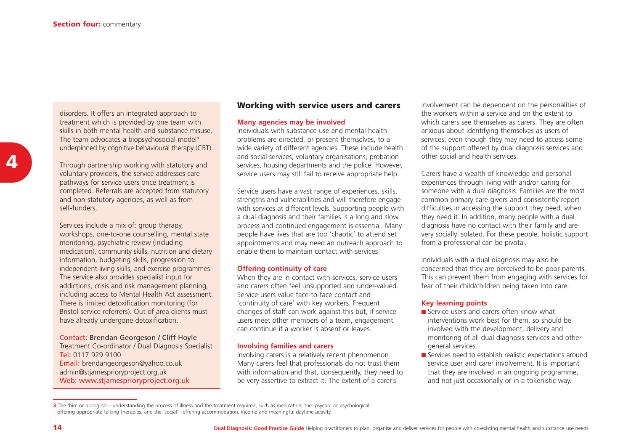disorders. It offers an integrated approach to treatment which is provided by one team with skills in both mental health and substance misuse.The team advocates a biopsychosocial model**<sup>3</sup>** underpinned by cognitive behavioural therapy (CBT).

Through partnership working with statutory and voluntary providers, the service addresses care pathways for service users once treatment is completed. Referrals are accepted from statutory and non-statutory agencies, as well as from self-funders.

Services include a mix of: group therapy. workshops, one-to-one counselling, mental state monitoring, psychiatric review (including medication), community skills, nutrition and dietary information, budgeting skills, progression to independent living skills, and exercise programmes. The service also provides specialist input for addictions, crisis and risk management planning, including access to Mental Health Act assessment. There is limited detoxification monitoring (for Bristol service referrers). Out of area clients must have already undergone detoxification.

#### Contact: Brendan Georgeson / Cliff Hoyle

Treatment Co-ordinator / Dual Diagnosis Specialist Tel: 0117 929 9100Email: brendangeorgeson@yahoo.co.uk admin@stjamesprioryproject.org.uk Web: www.stjamesprioryproject.org.uk

# **Working with service users and carers**

#### **Many agencies may be involved**

Individuals with substance use and mental healthproblems are directed, or present themselves, to a wide variety of different agencies. These include health and social services, voluntary organisations, probation services, housing departments and the police. However, service users may still fail to receive appropriate help.

Service users have a vast range of experiences, skills, strengths and vulnerabilities and will therefore engage with services at different levels. Supporting people with a dual diagnosis and their families is a long and slow process and continued engagement is essential. Many people have lives that are too 'chaotic' to attend set appointments and may need an outreach approach to enable them to maintain contact with services.

#### **Offering continuity of care**

When they are in contact with services, service users and carers often feel unsupported and under-valued. Service users value face-to-face contact and'continuity of care' with key workers. Frequent changes of staff can work against this but, if service users meet other members of a team, engagement can continue if a worker is absent or leaves.

#### **Involving families and carers**

Involving carers is a relatively recent phenomenon. Many carers feel that professionals do not trust them with information and that, consequently, they need to be very assertive to extract it. The extent of a carer's

involvement can be dependent on the personalities of the workers within a service and on the extent towhich carers see themselves as carers. They are often anxious about identifying themselves as users of services, even though they may need to access some of the support offered by dual diagnosis services and other social and health services.

Carers have a wealth of knowledge and personal experiences through living with and/or caring for someone with a dual diagnosis. Families are the most common primary care-givers and consistently report difficulties in accessing the support they need, when they need it. In addition, many people with a dual diagnosis have no contact with their family and are very socially isolated. For these people, holistic support from a professional can be pivotal.

Individuals with a dual diagnosis may also be concerned that they are perceived to be poor parents. This can prevent them from engaging with services for fear of their child/children being taken into care.

#### **Key learning points**

- Service users and carers often know what interventions work best for them, so should be involved with the development, delivery and monitoring of all dual diagnosis services and other general services.
- Services need to establish realistic expectations around service user and carer involvement. It is important that they are involved in an ongoing programme, and not just occasionally or in a tokenistic way.

<sup>3</sup> The 'bio' or biological – understanding the process of illness and the treatment required, such as medication; the 'psycho' or psychological<br>– offering appropriate talking therapies; and the 'social' –offering accommodat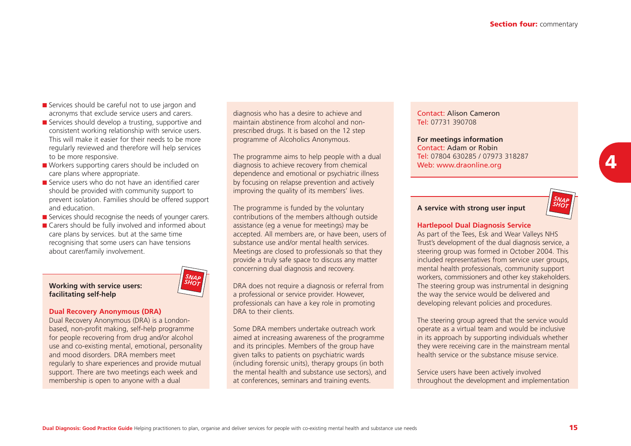- Services should be careful not to use jargon and acronyms that exclude service users and carers.
- Services should develop a trusting, supportive and consistent working relationship with service users. This will make it easier for their needs to be moreregularly reviewed and therefore will help services to be more responsive.
- Workers supporting carers should be included on care plans where appropriate.
- Service users who do not have an identified carer should be provided with community support to prevent isolation. Families should be offered support and education.
- Services should recognise the needs of younger carers.
- Carers should be fully involved and informed about care plans by services. but at the same time recognising that some users can have tensions about carer/family involvement.



#### **Dual Recovery Anonymous (DRA)**

Dual Recovery Anonymous (DRA) is a Londonbased, non-profit making, self-help programme for people recovering from drug and/or alcohol use and co-existing mental, emotional, personality and mood disorders. DRA members meetregularly to share experiences and provide mutual support. There are two meetings each week and membership is open to anyone with a dual

diagnosis who has a desire to achieve and maintain abstinence from alcohol and nonprescribed drugs. It is based on the 12 step programme of Alcoholics Anonymous.

The programme aims to help people with a dual diagnosis to achieve recovery from chemical dependence and emotional or psychiatric illness by focusing on relapse prevention and actively improving the quality of its members' lives.

The programme is funded by the voluntary contributions of the members although outside assistance (eg a venue for meetings) may be accepted. All members are, or have been, users of substance use and/or mental health services.Meetings are closed to professionals so that they provide a truly safe space to discuss any matter concerning dual diagnosis and recovery.

DRA does not require a diagnosis or referral from a professional or service provider. However, professionals can have a key role in promoting DRA to their clients.

Some DRA members undertake outreach workaimed at increasing awareness of the programme and its principles. Members of the group have given talks to patients on psychiatric wards (including forensic units), therapy groups (in both the mental health and substance use sectors), and at conferences, seminars and training events.

### Contact: Alison CameronTel: 07731 390708

**For meetings information** Contact: Adam or RobinTel: 07804 630285 / 07973 318287Web: www.draonline.org



# **A service with strong user input**

#### **Hartlepool Dual Diagnosis Service**

As part of the Tees, Esk and Wear Valleys NHS Trust's development of the dual diagnosis service, a steering group was formed in October 2004. This included representatives from service user groups, mental health professionals, community support workers, commissioners and other key stakeholders. The steering group was instrumental in designing the way the service would be delivered and developing relevant policies and procedures.

The steering group agreed that the service would operate as a virtual team and would be inclusive in its approach by supporting individuals whether they were receiving care in the mainstream mental health service or the substance misuse service.

Service users have been actively involved throughout the development and implementation

*SNAP SHOT*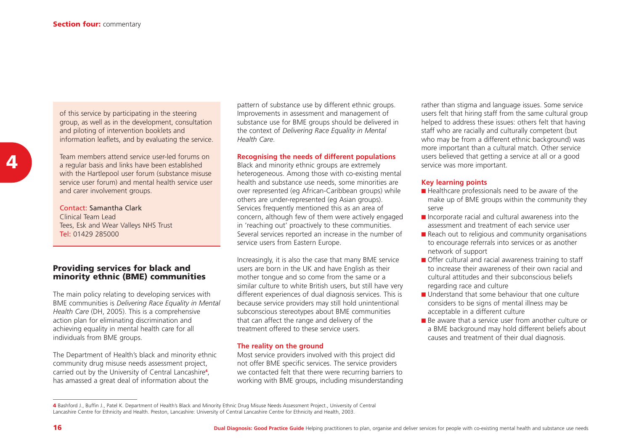of this service by participating in the steering group, as well as in the development, consultation and piloting of intervention booklets and information leaflets, and by evaluating the service.

Team members attend service user-led forums ona regular basis and links have been established with the Hartlepool user forum (substance misuse service user forum) and mental health service user and carer involvement groups.

Contact: Samantha ClarkClinical Team LeadTees, Esk and Wear Valleys NHS Trust Tel: 01429 285000

## **Providing services for black and minority ethnic (BME) communities**

The main policy relating to developing services with BME communities is *Delivering Race Equality in Mental Health Care* (DH, 2005). This is a comprehensive action plan for eliminating discrimination and achieving equality in mental health care for all individuals from BME groups.

The Department of Health's black and minority ethnic community drug misuse needs assessment project, carried out by the University of Central Lancashire**<sup>4</sup>**, has amassed a great deal of information about the

pattern of substance use by different ethnic groups. Improvements in assessment and management of substance use for BME groups should be delivered in the context of *Delivering Race Equality in Mental Health Care*.

#### **Recognising the needs of different populations**

Black and minority ethnic groups are extremely heterogeneous. Among those with co-existing mental health and substance use needs, some minorities are over represented (eg African-Caribbean groups) while others are under-represented (eg Asian groups). Services frequently mentioned this as an area of concern, although few of them were actively engaged in 'reaching out' proactively to these communities. Several services reported an increase in the number of service users from Eastern Europe.

Increasingly, it is also the case that many BME service users are born in the UK and have English as their mother tongue and so come from the same or a similar culture to white British users, but still have very different experiences of dual diagnosis services. This is because service providers may still hold unintentional subconscious stereotypes about BME communities that can affect the range and delivery of the treatment offered to these service users.

#### **The reality on the ground**

Most service providers involved with this project did not offer BME specific services. The service providers we contacted felt that there were recurring barriers to working with BME groups, including misunderstanding

rather than stigma and language issues. Some service users felt that hiring staff from the same cultural group helped to address these issues: others felt that having staff who are racially and culturally competent (but who may be from a different ethnic background) was more important than a cultural match. Other service users believed that getting a service at all or a good service was more important.

#### **Key learning points**

- Healthcare professionals need to be aware of the make up of BME groups within the community they serve
- Incorporate racial and cultural awareness into the assessment and treatment of each service user
- Reach out to religious and community organisations to encourage referrals into services or as another network of support
- Offer cultural and racial awareness training to staff to increase their awareness of their own racial andcultural attitudes and their subconscious beliefsregarding race and culture
- Understand that some behaviour that one culture considers to be signs of mental illness may be acceptable in a different culture
- Be aware that a service user from another culture or a BME background may hold different beliefs about causes and treatment of their dual diagnosis.

**<sup>4</sup>** Bashford J., Buffin J., Patel K. Department of Health's Black and Minority Ethnic Drug Misuse Needs Assessment Project., University of Central<br>Lancashire Centre for Ethnicity and Health. Preston, Lancashire: University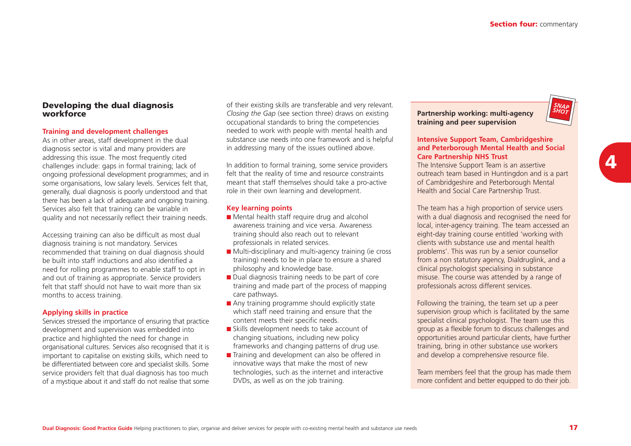### **Developing the dual diagnosis workforce**

#### **Training and development challenges**

As in other areas, staff development in the dual diagnosis sector is vital and many providers are addressing this issue. The most frequently cited challenges include: gaps in formal training; lack of ongoing professional development programmes; and in some organisations, low salary levels. Services felt that, generally, dual diagnosis is poorly understood and that there has been a lack of adequate and ongoing training. Services also felt that training can be variable in quality and not necessarily reflect their training needs.

Accessing training can also be difficult as most dual diagnosis training is not mandatory. Services recommended that training on dual diagnosis should be built into staff inductions and also identified aneed for rolling programmes to enable staff to opt in and out of training as appropriate. Service providers felt that staff should not have to wait more than sixmonths to access training.

#### **Applying skills in practice**

Services stressed the importance of ensuring that practice development and supervision was embedded into practice and highlighted the need for change in organisational cultures. Services also recognised that it is important to capitalise on existing skills, which need to be differentiated between core and specialist skills. Some service providers felt that dual diagnosis has too much of a mystique about it and staff do not realise that some

of their existing skills are transferable and very relevant. *Closing the Gap* (see section three) draws on existing occupational standards to bring the competencies needed to work with people with mental health and substance use needs into one framework and is helpful in addressing many of the issues outlined above.

In addition to formal training, some service providers felt that the reality of time and resource constraints meant that staff themselves should take a pro-active role in their own learning and development.

#### **Key learning points**

- Mental health staff require drug and alcohol awareness training and vice versa. Awareness training should also reach out to relevant professionals in related services.
- Multi-disciplinary and multi-agency training (ie cross training) needs to be in place to ensure a shared philosophy and knowledge base.
- Dual diagnosis training needs to be part of core training and made part of the process of mapping care pathways.
- Any training programme should explicitly state which staff need training and ensure that the content meets their specific needs.
- Skills development needs to take account of changing situations, including new policy frameworks and changing patterns of drug use.
- Training and development can also be offered in innovative ways that make the most of new technologies, such as the internet and interactive DVDs, as well as on the job training.

**Partnership working: multi-agency training and peer supervision**



#### **Intensive Support Team, Cambridgeshire and Peterborough Mental Health and Social Care Partnership NHS Trust**

The Intensive Support Team is an assertive outreach team based in Huntingdon and is a part of Cambridgeshire and Peterborough Mental Health and Social Care Partnership Trust.

The team has a high proportion of service users with a dual diagnosis and recognised the need for local, inter-agency training. The team accessed an eight-day training course entitled 'working with clients with substance use and mental healthproblems'. This was run by a senior counsellor from a non statutory agency, Dialdruglink, and a clinical psychologist specialising in substance misuse. The course was attended by a range of professionals across different services.

Following the training, the team set up a peer supervision group which is facilitated by the same specialist clinical psychologist. The team use this group as a flexible forum to discuss challenges and opportunities around particular clients, have further training, bring in other substance use workers and develop a comprehensive resource file.

Team members feel that the group has made them more confident and better equipped to do their job.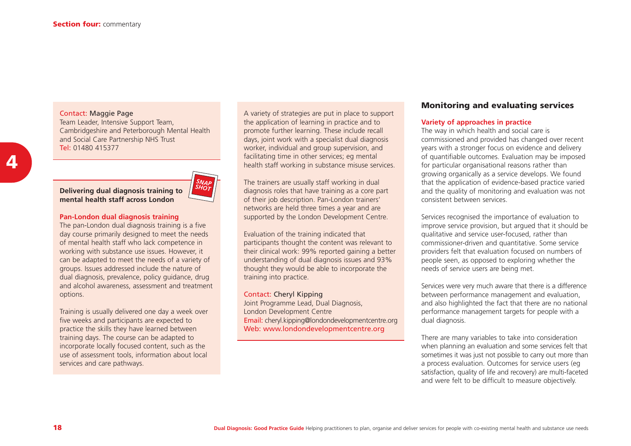#### Contact: Maggie Page

Team Leader, Intensive Support Team, Cambridgeshire and Peterborough Mental Health and Social Care Partnership NHS Trust Tel: 01480 415377

**Delivering dual diagnosis training to mental health staff across London**



#### **Pan-London dual diagnosis training**

The pan-London dual diagnosis training is a five day course primarily designed to meet the needs of mental health staff who lack competence in working with substance use issues. However, it can be adapted to meet the needs of a variety of groups. Issues addressed include the nature of dual diagnosis, prevalence, policy guidance, drug and alcohol awareness, assessment and treatment options.

Training is usually delivered one day a week over five weeks and participants are expected to practice the skills they have learned between training days. The course can be adapted to incorporate locally focused content, such as the use of assessment tools, information about local services and care pathways.

A variety of strategies are put in place to support the application of learning in practice and to promote further learning. These include recall days, joint work with a specialist dual diagnosis worker, individual and group supervision, and facilitating time in other services; eg mental health staff working in substance misuse services.

The trainers are usually staff working in dual diagnosis roles that have training as a core part of their job description. Pan-London trainers' networks are held three times a year and are supported by the London Development Centre.

Evaluation of the training indicated that participants thought the content was relevant to their clinical work: 99% reported gaining a better understanding of dual diagnosis issues and 93% thought they would be able to incorporate the training into practice.

#### Contact: Cheryl Kipping

Joint Programme Lead, Dual Diagnosis, London Development Centre Email: cheryl.kipping@londondevelopmentcentre.org Web: www.londondevelopmentcentre.org

# **Monitoring and evaluating services**

#### **Variety of approaches in practice**

The way in which health and social care is commissioned and provided has changed over recent years with a stronger focus on evidence and delivery of quantifiable outcomes. Evaluation may be imposed for particular organisational reasons rather than growing organically as a service develops. We found that the application of evidence-based practice varied and the quality of monitoring and evaluation was not consistent between services.

Services recognised the importance of evaluation to improve service provision, but argued that it should be qualitative and service user-focused, rather than commissioner-driven and quantitative. Some service providers felt that evaluation focused on numbers of people seen, as opposed to exploring whether the needs of service users are being met.

Services were very much aware that there is a difference between performance management and evaluation, and also highlighted the fact that there are no national performance management targets for people with a dual diagnosis.

There are many variables to take into consideration when planning an evaluation and some services felt that sometimes it was just not possible to carry out more than a process evaluation. Outcomes for service users (eg satisfaction, quality of life and recovery) are multi-faceted and were felt to be difficult to measure objectively.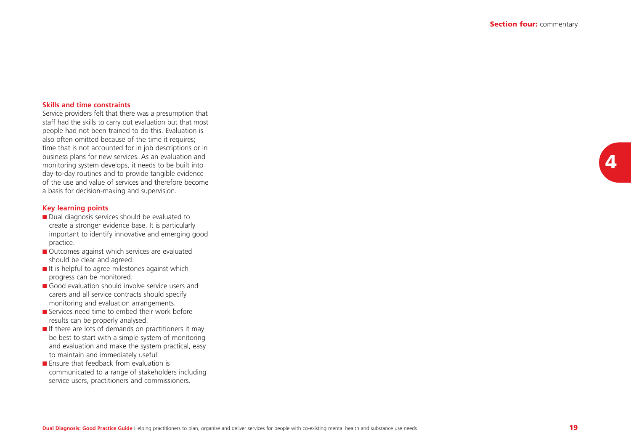#### **Skills and time constraints**

Service providers felt that there was a presumption that staff had the skills to carry out evaluation but that most people had not been trained to do this. Evaluation is also often omitted because of the time it requires; time that is not accounted for in job descriptions or in business plans for new services. As an evaluation and monitoring system develops, it needs to be built into day-to-day routines and to provide tangible evidence of the use and value of services and therefore becomea basis for decision-making and supervision.

#### **Key learning points**

- Dual diagnosis services should be evaluated to create a stronger evidence base. It is particularly important to identify innovative and emerging good practice.
- Outcomes against which services are evaluated should be clear and agreed.
- It is helpful to agree milestones against which progress can be monitored.
- Good evaluation should involve service users and carers and all service contracts should specify monitoring and evaluation arrangements.
- Services need time to embed their work before results can be properly analysed.
- If there are lots of demands on practitioners it may be best to start with a simple system of monitoring and evaluation and make the system practical, easy to maintain and immediately useful.
- Ensure that feedback from evaluation is communicated to a range of stakeholders including service users, practitioners and commissioners.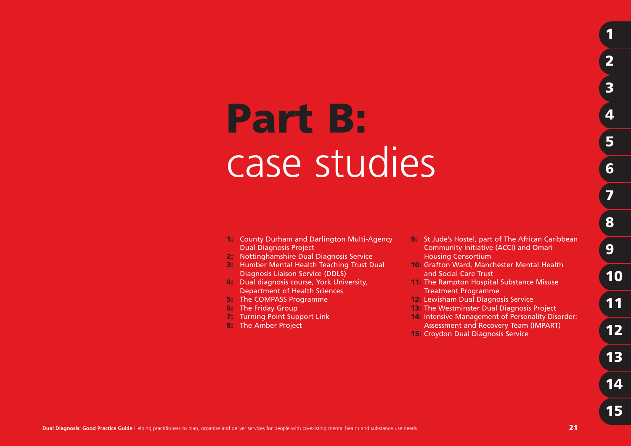# **Part B:** case studies

- **1:** County Durham and Darlington Multi-Agency Dual Diagnosis Project
- **2:** Nottinghamshire Dual Diagnosis Service
- **3:** Humber Mental Health Teaching Trust Dual Diagnosis Liaison Service (DDLS)
- **4:** Dual diagnosis course, York University, Department of Health Sciences
- **5:** The COMPASS Programme
- **6:** The Friday Group
- **7:** Turning Point Support Link
- **8:** The Amber Project
- **9:** St Jude's Hostel, part of The African Caribbean Community Initiative (ACCI) and Omari Housing Consortium
- **10:** Grafton Ward, Manchester Mental Health and Social Care Trust
- **11:** The Rampton Hospital Substance Misuse Treatment Programme
- **12:** Lewisham Dual Diagnosis Service
- **13:** The Westminster Dual Diagnosis Project
- **14:** Intensive Management of Personality Disorder:
- Assessment and Recovery Team (IMPART)
- **15:** Croydon Dual Diagnosis Service

**1**

**2**

**3**

**4**

**5**

**6**

**7**

**8**

**9**

**10**

**11**

**12**

**13**

**14**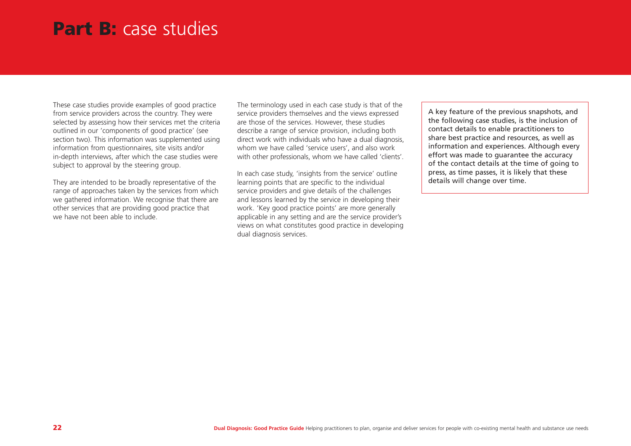# **Part B:** case studies

These case studies provide examples of good practice from service providers across the country. They were selected by assessing how their services met the criteria outlined in our 'components of good practice' (see section two). This information was supplemented using information from questionnaires, site visits and/or in-depth interviews, after which the case studies were subject to approval by the steering group.

They are intended to be broadly representative of the range of approaches taken by the services from which we gathered information. We recognise that there are other services that are providing good practice that we have not been able to include.

The terminology used in each case study is that of the service providers themselves and the views expressed are those of the services. However, these studies describe a range of service provision, including both direct work with individuals who have a dual diagnosis, whom we have called 'service users', and also work with other professionals, whom we have called 'clients'.

In each case study, 'insights from the service' outline learning points that are specific to the individual service providers and give details of the challenges and lessons learned by the service in developing their work. 'Key good practice points' are more generally applicable in any setting and are the service provider's views on what constitutes good practice in developing dual diagnosis services.

A key feature of the previous snapshots, and the following case studies, is the inclusion of contact details to enable practitioners to share best practice and resources, as well as information and experiences. Although every effort was made to guarantee the accuracy of the contact details at the time of going to press, as time passes, it is likely that these details will change over time.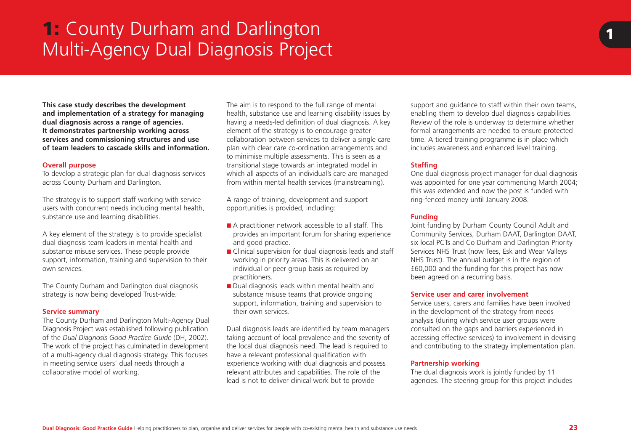# **1:** County Durham and Darlington Multi-Agency Dual Diagnosis Project

**This case study describes the development and implementation of a strategy for managing dual diagnosis across a range of agencies. It demonstrates partnership working across services and commissioning structures and use of team leaders to cascade skills and information.**

#### **Overall purpose**

To develop a strategic plan for dual diagnosis services across County Durham and Darlington.

The strategy is to support staff working with service users with concurrent needs including mental health, substance use and learning disabilities.

A key element of the strategy is to provide specialist dual diagnosis team leaders in mental health and substance misuse services. These people provide support, information, training and supervision to their own services.

The County Durham and Darlington dual diagnosis strategy is now being developed Trust-wide.

#### **Service summary**

The County Durham and Darlington Multi-Agency Dual Diagnosis Project was established following publication of the *Dual Diagnosis Good Practice Guide* (DH, 2002). The work of the project has culminated in development of a multi-agency dual diagnosis strategy. This focuses in meeting service users' dual needs through a collaborative model of working.

The aim is to respond to the full range of mental health, substance use and learning disability issues by having a needs-led definition of dual diagnosis. A key element of the strategy is to encourage greater collaboration between services to deliver a single care plan with clear care co-ordination arrangements and to minimise multiple assessments. This is seen as a transitional stage towards an integrated model in which all aspects of an individual's care are managed from within mental health services (mainstreaming).

A range of training, development and support opportunities is provided, including:

- A practitioner network accessible to all staff. This provides an important forum for sharing experience and good practice.
- Clinical supervision for dual diagnosis leads and staff working in priority areas. This is delivered on an individual or peer group basis as required by practitioners.
- Dual diagnosis leads within mental health and substance misuse teams that provide ongoing support, information, training and supervision to their own services.

Dual diagnosis leads are identified by team managers taking account of local prevalence and the severity of the local dual diagnosis need. The lead is required to have a relevant professional qualification with experience working with dual diagnosis and possess relevant attributes and capabilities. The role of the lead is not to deliver clinical work but to provide

support and quidance to staff within their own teams. enabling them to develop dual diagnosis capabilities. Review of the role is underway to determine whether formal arrangements are needed to ensure protected time. A tiered training programme is in place which includes awareness and enhanced level training.

## **Staffing**

One dual diagnosis project manager for dual diagnosis was appointed for one year commencing March 2004; this was extended and now the post is funded with ring-fenced money until January 2008.

#### **Funding**

Joint funding by Durham County Council Adult and Community Services, Durham DAAT, Darlington DAAT, six local PCTs and Co Durham and Darlington Priority Services NHS Trust (now Tees, Esk and Wear Valleys NHS Trust). The annual budget is in the region of £60,000 and the funding for this project has now been agreed on a recurring basis.

#### **Service user and carer involvement**

Service users, carers and families have been involved in the development of the strategy from needs analysis (during which service user groups were consulted on the gaps and barriers experienced in accessing effective services) to involvement in devising and contributing to the strategy implementation plan.

#### **Partnership working**

The dual diagnosis work is jointly funded by 11 agencies. The steering group for this project includes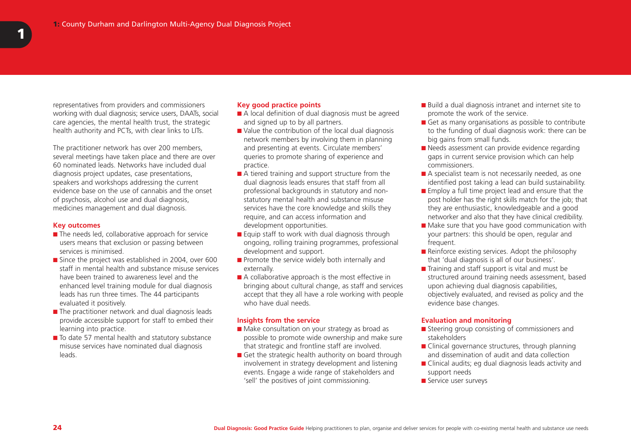representatives from providers and commissioners working with dual diagnosis; service users, DAATs, social care agencies, the mental health trust, the strategic health authority and PCTs, with clear links to LITs.

The practitioner network has over 200 members, several meetings have taken place and there are over 60 nominated leads. Networks have included dual diagnosis project updates, case presentations, speakers and workshops addressing the current evidence base on the use of cannabis and the onsetof psychosis, alcohol use and dual diagnosis, medicines management and dual diagnosis.

#### **Key outcomes**

- The needs led, collaborative approach for service users means that exclusion or passing between services is minimised.
- Since the project was established in 2004, over 600 staff in mental health and substance misuse serviceshave been trained to awareness level and theenhanced level training module for dual diagnosis leads has run three times. The 44 participants evaluated it positively.
- The practitioner network and dual diagnosis leads provide accessible support for staff to embed their learning into practice.
- To date 57 mental health and statutory substance misuse services have nominated dual diagnosis leads.

#### **Key good practice points**

- A local definition of dual diagnosis must be agreed and signed up to by all partners.
- Value the contribution of the local dual diagnosis network members by involving them in planning and presenting at events. Circulate members' queries to promote sharing of experience and practice.
- A tiered training and support structure from the dual diagnosis leads ensures that staff from all professional backgrounds in statutory and nonstatutory mental health and substance misuse services have the core knowledge and skills they require, and can access information and development opportunities.
- Equip staff to work with dual diagnosis through ongoing, rolling training programmes, professional development and support.
- Promote the service widely both internally and externally.
- A collaborative approach is the most effective in bringing about cultural change, as staff and services accept that they all have a role working with people who have dual needs.

#### **Insights from the service**

- Make consultation on your strategy as broad as possible to promote wide ownership and make sure that strategic and frontline staff are involved.
- Get the strategic health authority on board through involvement in strategy development and listening events. Engage a wide range of stakeholders and 'sell' the positives of joint commissioning.
- Build a dual diagnosis intranet and internet site to promote the work of the service.
- Get as many organisations as possible to contribute to the funding of dual diagnosis work: there can be big gains from small funds.
- Needs assessment can provide evidence regarding gaps in current service provision which can help commissioners.
- A specialist team is not necessarily needed, as one identified post taking a lead can build sustainability.
- Employ a full time project lead and ensure that the post holder has the right skills match for the job; that they are enthusiastic, knowledgeable and a good networker and also that they have clinical credibility.
- Make sure that you have good communication with your partners: this should be open, regular and frequent.
- Reinforce existing services. Adopt the philosophy that 'dual diagnosis is all of our business'.
- Training and staff support is vital and must be structured around training needs assessment, based upon achieving dual diagnosis capabilities, objectively evaluated, and revised as policy and the evidence base changes.

#### **Evaluation and monitoring**

- Steering group consisting of commissioners and stakeholders
- Clinical governance structures, through planning and dissemination of audit and data collection
- Clinical audits; eg dual diagnosis leads activity and support needs
- Service user surveys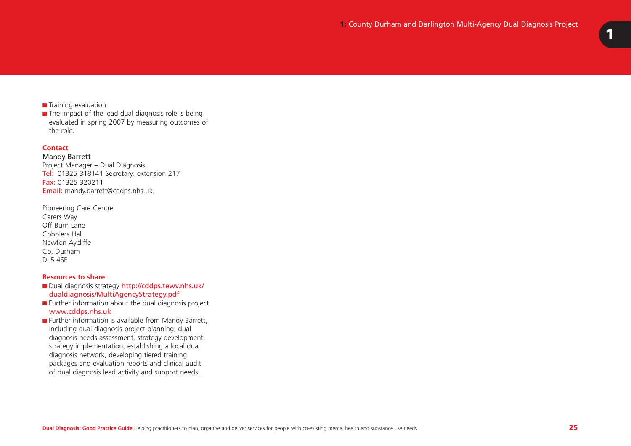# ■ Training evaluation

 $\blacksquare$  The impact of the lead dual diagnosis role is being evaluated in spring 2007 by measuring outcomes of the role.

#### **Contact**

Mandy Barrett Project Manager – Dual Diagnosis Tel: 01325 318141 Secretary: extension 217 **Fax:** 01325 320211 Email: mandy.barrett@cddps.nhs.uk

| Pioneering Care Centre |
|------------------------|
| Carers Way             |
| Off Burn Lane          |
| Cobblers Hall          |
| Newton Aycliffe        |
| Co. Durham             |
| DL5 4SE                |

#### **Resources to share**

- Dual diagnosis strategy http://cddps.tewv.nhs.uk/ dualdiagnosis/MultiAgencyStrategy.pdf
- Further information about the dual diagnosis project www.cddps.nhs.uk
- Further information is available from Mandy Barrett, including dual diagnosis project planning, dual diagnosis needs assessment, strategy development, strategy implementation, establishing a local dual diagnosis network, developing tiered training packages and evaluation reports and clinical audit of dual diagnosis lead activity and support needs.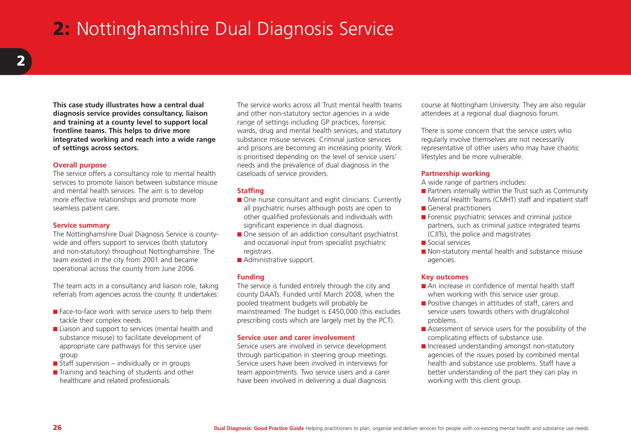# **2:** Nottinghamshire Dual Diagnosis Service

**This case study illustrates how a central dual diagnosis service provides consultancy, liaison and training at a county level to support local frontline teams. This helps to drive more integrated working and reach into a wide range of settings across sectors.**

#### **Overall purpose**

The service offers a consultancy role to mental health services to promote liaison between substance misuse and mental health services. The aim is to develop more effective relationships and promote more seamless patient care.

#### **Service summary**

The Nottinghamshire Dual Diagnosis Service is countywide and offers support to services (both statutory and non-statutory) throughout Nottinghamshire. The team existed in the city from 2001 and became operational across the county from June 2006.

The team acts in a consultancy and liaison role, taking referrals from agencies across the county. It undertakes:

- Face-to-face work with service users to help them tackle their complex needs
- Liaison and support to services (mental health and substance misuse) to facilitate development of appropriate care pathways for this service user group
- $\blacksquare$  Staff supervision individually or in groups
- Training and teaching of students and other healthcare and related professionals.

The service works across all Trust mental health teamsand other non-statutory sector agencies in a wide range of settings including GP practices, forensic wards, drug and mental health services, and statutory substance misuse services. Criminal justice services and prisons are becoming an increasing priority. Work is prioritised depending on the level of service users' needs and the prevalence of dual diagnosis in the caseloads of service providers.

#### **Staffing**

- One nurse consultant and eight clinicians. Currently all psychiatric nurses although posts are open to other qualified professionals and individuals with significant experience in dual diagnosis.
- One session of an addiction consultant psychiatrist and occasional input from specialist psychiatric registrars.
- Administrative support.

#### **Funding**

The service is funded entirely through the city and county DAATs. Funded until March 2008, when the pooled treatment budgets will probably be mainstreamed. The budget is £450,000 (this excludes prescribing costs which are largely met by the PCT).

#### **Service user and carer involvement**

Service users are involved in service development through participation in steering group meetings. Service users have been involved in interviews forteam appointments. Two service users and a carer have been involved in delivering a dual diagnosis

course at Nottingham University. They are also regular attendees at a regional dual diagnosis forum.

There is some concern that the service users whoregularly involve themselves are not necessarily representative of other users who may have chaotic lifestyles and be more vulnerable.

#### **Partnership working**

A wide range of partners includes:

- Partners internally within the Trust such as Community Mental Health Teams (CMHT) staff and inpatient staff
- General practitioners
- Forensic psychiatric services and criminal justice partners, such as criminal justice integrated teams (CJITs), the police and magistrates
- Social services
- Non-statutory mental health and substance misuse agencies.

#### **Key outcomes**

- An increase in confidence of mental health staffwhen working with this service user group.
- Positive changes in attitudes of staff, carers and service users towards others with drug/alcohol problems.
- Assessment of service users for the possibility of the complicating effects of substance use.
- Increased understanding amongst non-statutory agencies of the issues posed by combined mental health and substance use problems. Staff have a better understanding of the part they can play in working with this client group.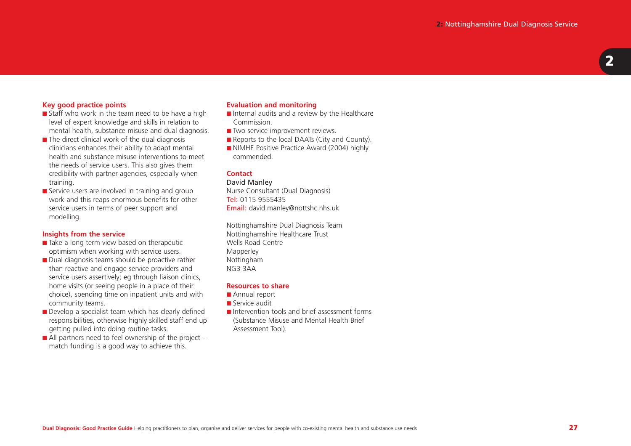#### **Key good practice points**

- Staff who work in the team need to be have a high level of expert knowledge and skills in relation to mental health, substance misuse and dual diagnosis.
- The direct clinical work of the dual diagnosis clinicians enhances their ability to adapt mental health and substance misuse interventions to meetthe needs of service users. This also gives them credibility with partner agencies, especially when training.
- Service users are involved in training and group work and this reaps enormous benefits for other service users in terms of peer support and modelling.

#### **Insights from the service**

- Take a long term view based on therapeutic optimism when working with service users.
- Dual diagnosis teams should be proactive rather than reactive and engage service providers and service users assertively; eg through liaison clinics, home visits (or seeing people in a place of their choice), spending time on inpatient units and with community teams.
- Develop a specialist team which has clearly defined responsibilities, otherwise highly skilled staff end up getting pulled into doing routine tasks.
- $\blacksquare$  All partners need to feel ownership of the project match funding is a good way to achieve this.

#### **Evaluation and monitoring**

- Internal audits and a review by the Healthcare Commission.
- Two service improvement reviews.
- Reports to the local DAATs (City and County).
- NIMHE Positive Practice Award (2004) highly commended.

#### **Contact**

#### David Manley

Nurse Consultant (Dual Diagnosis) **Tel:** 0115 9555435 Email: david.manley@nottshc.nhs.uk

Nottinghamshire Dual Diagnosis Team Nottinghamshire Healthcare Trust Wells Road CentreMapperley Nottingham NG3 3AA

#### **Resources to share**

- Annual report
- Service audit
- Intervention tools and brief assessment forms (Substance Misuse and Mental Health Brief Assessment Tool).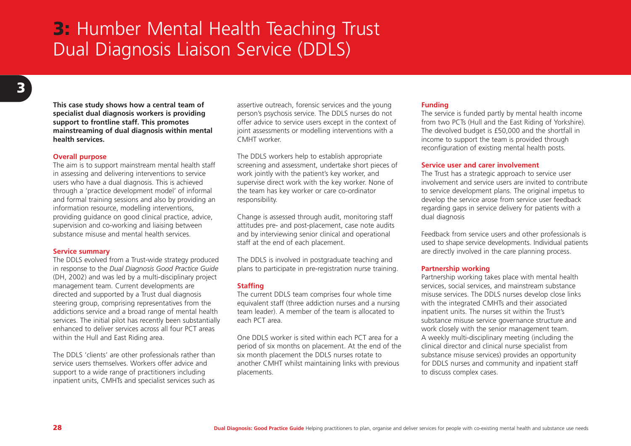# **3:** Humber Mental Health Teaching Trust Dual Diagnosis Liaison Service (DDLS)

**This case study shows how a central team of specialist dual diagnosis workers is providing support to frontline staff. This promotes mainstreaming of dual diagnosis within mental health services.**

#### **Overall purpose**

The aim is to support mainstream mental health staff in assessing and delivering interventions to service users who have a dual diagnosis. This is achieved through a 'practice development model' of informal and formal training sessions and also by providing an information resource, modelling interventions, providing guidance on good clinical practice, advice, supervision and co-working and liaising between substance misuse and mental health services.

#### **Service summary**

The DDLS evolved from a Trust-wide strategy produced in response to the *Dual Diagnosis Good Practice Guide* (DH, 2002) and was led by a multi-disciplinary project management team. Current developments are directed and supported by a Trust dual diagnosis steering group, comprising representatives from the addictions service and a broad range of mental health services. The initial pilot has recently been substantially enhanced to deliver services across all four PCT areaswithin the Hull and East Riding area.

The DDLS 'clients' are other professionals rather than service users themselves. Workers offer advice andsupport to a wide range of practitioners including inpatient units, CMHTs and specialist services such as

assertive outreach, forensic services and the young person's psychosis service. The DDLS nurses do not offer advice to service users except in the context of joint assessments or modelling interventions with a CMHT worker.

The DDLS workers help to establish appropriate screening and assessment, undertake short pieces of work jointly with the patient's key worker, and supervise direct work with the key worker. None of the team has key worker or care co-ordinator responsibility.

Change is assessed through audit, monitoring staff attitudes pre- and post-placement, case note audits and by interviewing senior clinical and operational staff at the end of each placement.

The DDLS is involved in postgraduate teaching and plans to participate in pre-registration nurse training.

#### **Staffing**

The current DDLS team comprises four whole time equivalent staff (three addiction nurses and a nursing team leader). A member of the team is allocated to each PCT area.

One DDLS worker is sited within each PCT area for aperiod of six months on placement. At the end of the six month placement the DDLS nurses rotate to another CMHT whilst maintaining links with previous placements.

#### **Funding**

The service is funded partly by mental health income from two PCTs (Hull and the East Riding of Yorkshire). The devolved budget is £50,000 and the shortfall in income to support the team is provided through reconfiguration of existing mental health posts.

#### **Service user and carer involvement**

The Trust has a strategic approach to service user involvement and service users are invited to contributeto service development plans. The original impetus to develop the service arose from service user feedback regarding gaps in service delivery for patients with a dual diagnosis

Feedback from service users and other professionals is used to shape service developments. Individual patients are directly involved in the care planning process.

#### **Partnership working**

Partnership working takes place with mental health services, social services, and mainstream substance misuse services. The DDLS nurses develop close links with the integrated CMHTs and their associated inpatient units. The nurses sit within the Trust's substance misuse service governance structure and work closely with the senior management team. A weekly multi-disciplinary meeting (including the clinical director and clinical nurse specialist from substance misuse services) provides an opportunity for DDLS nurses and community and inpatient staff to discuss complex cases.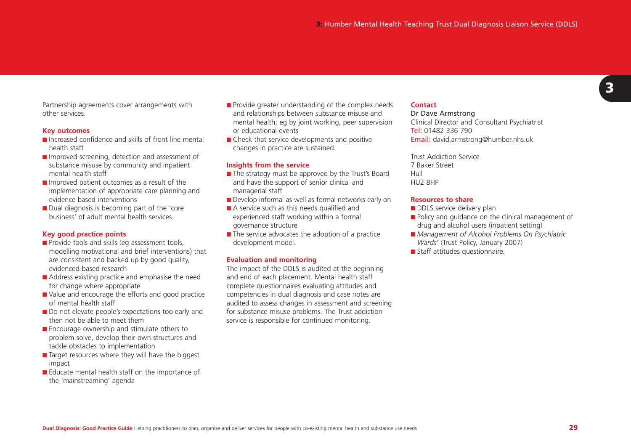Partnership agreements cover arrangements with other services.

#### **Key outcomes**

- Increased confidence and skills of front line mental health staff
- Improved screening, detection and assessment of substance misuse by community and inpatient mental health staff
- Improved patient outcomes as a result of the implementation of appropriate care planning and evidence based interventions
- Dual diagnosis is becoming part of the 'core business' of adult mental health services.

#### **Key good practice points**

- Provide tools and skills (eq assessment tools, modelling motivational and brief interventions) that are consistent and backed up by good quality, evidenced-based research
- Address existing practice and emphasise the need for change where appropriate
- Value and encourage the efforts and good practice of mental health staff
- Do not elevate people's expectations too early and then not be able to meet them
- Encourage ownership and stimulate others to problem solve, develop their own structures and tackle obstacles to implementation
- Target resources where they will have the biggest impact
- Educate mental health staff on the importance of the 'mainstreaming' agenda
- Provide greater understanding of the complex needs and relationships between substance misuse and mental health; eg by joint working, peer supervision or educational events
- Check that service developments and positive changes in practice are sustained.

#### **Insights from the service**

- The strategy must be approved by the Trust's Board and have the support of senior clinical and managerial staff
- Develop informal as well as formal networks early on
- A service such as this needs qualified and experienced staff working within a formal governance structure
- The service advocates the adoption of a practice development model.

#### **Evaluation and monitoring**

The impact of the DDLS is audited at the beginning and end of each placement. Mental health staff complete questionnaires evaluating attitudes and competencies in dual diagnosis and case notes are audited to assess changes in assessment and screening for substance misuse problems. The Trust addiction service is responsible for continued monitoring.

#### **Contact**

#### Dr Dave Armstrong

Clinical Director and Consultant Psychiatrist **Tel:** 01482 336 790 Email: david.armstrong@humber.nhs.uk

Trust Addiction Service7 Baker StreetHullHU2 8HP

#### **Resources to share**

- DDLS service delivery plan
- Policy and quidance on the clinical management of drug and alcohol users (inpatient setting)
- *Management of Alcohol Problems On Psychiatric Wards'* (Trust Policy, January 2007)
- Staff attitudes questionnaire.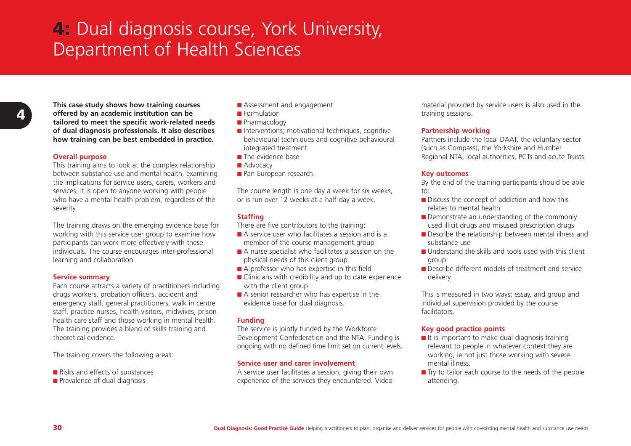# **4:** Dual diagnosis course, York University, Department of Health Sciences

**4**

**This case study shows how training courses offered by an academic institution can be tailored to meet the specific work-related needs of dual diagnosis professionals. It also describes how training can be best embedded in practice.**

#### **Overall purpose**

This training aims to look at the complex relationship between substance use and mental health, examining the implications for service users, carers, workers and services. It is open to anyone working with people who have a mental health problem, regardless of the severity.

The training draws on the emerging evidence base for working with this service user group to examine how participants can work more effectively with these individuals. The course encourages inter-professional learning and collaboration.

#### **Service summary**

Each course attracts a variety of practitioners including drugs workers, probation officers, accident and emergency staff, general practitioners, walk in centre staff, practice nurses, health visitors, midwives, prison health care staff and those working in mental health. The training provides a blend of skills training and theoretical evidence.

The training covers the following areas:

- Risks and effects of substances
- Prevalence of dual diagnosis
- Assessment and engagement
- Formulation
- Pharmacology
- Interventions; motivational techniques, cognitive behavioural techniques and cognitive behavioural integrated treatment
- The evidence base
- Advocacy
- Pan-European research.

The course length is one day a week for six weeks, or is run over 12 weeks at a half-day a week.

#### **Staffing**

There are five contributors to the training:

- A service user who facilitates a session and is a member of the course management group
- A nurse specialist who facilitates a session on the physical needs of this client group
- A professor who has expertise in this field
- Clinicians with credibility and up to date experience with the client group
- A senior researcher who has expertise in the evidence base for dual diagnosis.

#### **Funding**

The service is jointly funded by the Workforce Development Confederation and the NTA. Funding is ongoing with no defined time limit set on current levels.

#### **Service user and carer involvement**

A service user facilitates a session, giving their own experience of the services they encountered. Video

material provided by service users is also used in the training sessions.

#### **Partnership working**

Partners include the local DAAT, the voluntary sector (such as Compass), the Yorkshire and Humber Regional NTA, local authorities, PCTs and acute Trusts.

#### **Key outcomes**

By the end of the training participants should be able to:

- Discuss the concept of addiction and how this relates to mental health
- Demonstrate an understanding of the commonly used illicit drugs and misused prescription drugs
- Describe the relationship between mental illness and substance use
- Understand the skills and tools used with this client group
- Describe different models of treatment and service delivery.

This is measured in two ways: essay, and group and individual supervision provided by the course facilitators.

#### **Key good practice points**

- $\blacksquare$  It is important to make dual diagnosis training relevant to people in whatever context they are working, ie not just those working with severe mental illness.
- Try to tailor each course to the needs of the people attending.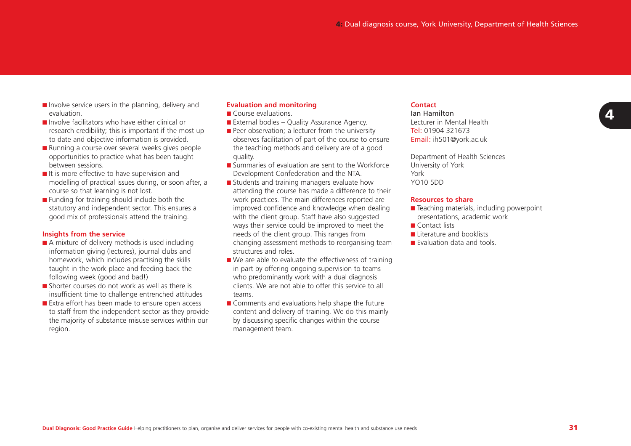- Involve service users in the planning, delivery and evaluation.
- Involve facilitators who have either clinical or research credibility; this is important if the most up to date and objective information is provided.
- Running a course over several weeks gives people opportunities to practice what has been taught between sessions.
- It is more effective to have supervision and modelling of practical issues during, or soon after, a course so that learning is not lost.
- Funding for training should include both the statutory and independent sector. This ensures a good mix of professionals attend the training.

#### **Insights from the service**

- A mixture of delivery methods is used including information giving (lectures), journal clubs and homework, which includes practising the skills taught in the work place and feeding back the following week (good and bad!)
- Shorter courses do not work as well as there is insufficient time to challenge entrenched attitudes
- Extra effort has been made to ensure open access to staff from the independent sector as they provide the majority of substance misuse services within our region.

# **Evaluation and monitoring**

- Course evaluations.
- External bodies Quality Assurance Agency.
- Peer observation; a lecturer from the university observes facilitation of part of the course to ensure the teaching methods and delivery are of a good quality.
- Summaries of evaluation are sent to the Workforce Development Confederation and the NTA.
- Students and training managers evaluate how attending the course has made a difference to their work practices. The main differences reported are improved confidence and knowledge when dealing with the client group. Staff have also suggested ways their service could be improved to meet the needs of the client group. This ranges from changing assessment methods to reorganising team structures and roles.
- $\blacksquare$  We are able to evaluate the effectiveness of training in part by offering ongoing supervision to teams who predominantly work with a dual diagnosis clients. We are not able to offer this service to allteams.
- Comments and evaluations help shape the future content and delivery of training. We do this mainly by discussing specific changes within the course management team.

#### **Contact**

Ian HamiltonLecturer in Mental Health**Tel:** 01904 321673 **Email:** ih501@york.ac.uk

Department of Health Sciences University of York YorkYO10 5DD

#### **Resources to share**

- Teaching materials, including powerpoint presentations, academic work
- Contact lists
- Literature and booklists
- Evaluation data and tools.

**Dual Diagnosis: Good Practice Guide** Helping practitioners to plan, organise and deliver services for people with co-existing mental health and substance use needs **31**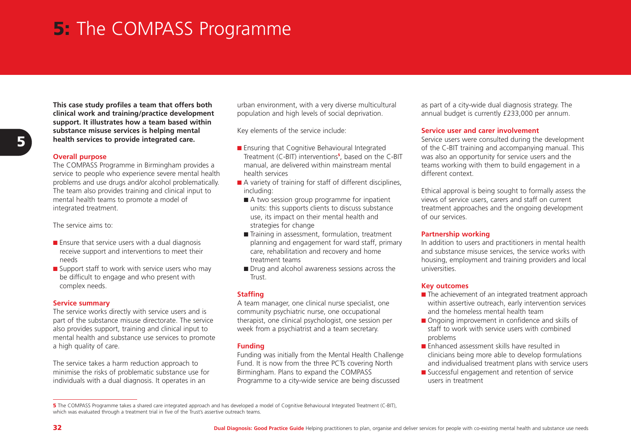# **5:** The COMPASS Programme

**This case study profiles a team that offers both clinical work and training/practice development support. It illustrates how a team based within substance misuse services is helping mental health services to provide integrated care.**

#### **Overall purpose**

The COMPASS Programme in Birmingham provides a service to people who experience severe mental health problems and use drugs and/or alcohol problematically. The team also provides training and clinical input to mental health teams to promote a model of integrated treatment.

The service aims to:

- Ensure that service users with a dual diagnosis receive support and interventions to meet their needs
- Support staff to work with service users who may be difficult to engage and who present with complex needs.

#### **Service summary**

The service works directly with service users and is part of the substance misuse directorate. The service also provides support, training and clinical input to mental health and substance use services to promote a high quality of care.

The service takes a harm reduction approach to minimise the risks of problematic substance use for individuals with a dual diagnosis. It operates in an

urban environment, with a very diverse multicultural population and high levels of social deprivation.

Key elements of the service include:

- Ensuring that Cognitive Behavioural Integrated Treatment (C-BIT) interventions**<sup>5</sup>**, based on the C-BIT manual, are delivered within mainstream mental health services
- A variety of training for staff of different disciplines, including:
- A two session group programme for inpatient units: this supports clients to discuss substance use, its impact on their mental health and strategies for change
- Training in assessment, formulation, treatment planning and engagement for ward staff, primary care, rehabilitation and recovery and home treatment teams
- Drug and alcohol awareness sessions across the Trust.

#### **Staffing**

A team manager, one clinical nurse specialist, one community psychiatric nurse, one occupational therapist, one clinical psychologist, one session per week from a psychiatrist and a team secretary.

#### **Funding**

Funding was initially from the Mental Health Challenge Fund. It is now from the three PCTs covering North Birmingham. Plans to expand the COMPASS Programme to a city-wide service are being discussed

as part of a city-wide dual diagnosis strategy. The annual budget is currently £233,000 per annum.

#### **Service user and carer involvement**

Service users were consulted during the development of the C-BIT training and accompanying manual. This was also an opportunity for service users and the teams working with them to build engagement in a different context.

Ethical approval is being sought to formally assess the views of service users, carers and staff on current treatment approaches and the ongoing development of our services.

#### **Partnership working**

In addition to users and practitioners in mental health and substance misuse services, the service works with housing, employment and training providers and local universities.

#### **Key outcomes**

- The achievement of an integrated treatment approach within assertive outreach, early intervention services and the homeless mental health team
- Ongoing improvement in confidence and skills of staff to work with service users with combinedproblems
- Enhanced assessment skills have resulted in clinicians being more able to develop formulations and individualised treatment plans with service users
- Successful engagement and retention of service users in treatment

**<sup>5</sup>** The COMPASS Programme takes a shared care integrated approach and has developed a model of Cognitive Behavioural Integrated Treatment (C-BIT),<br>which was evaluated through a treatment trial in five of the Trust's assert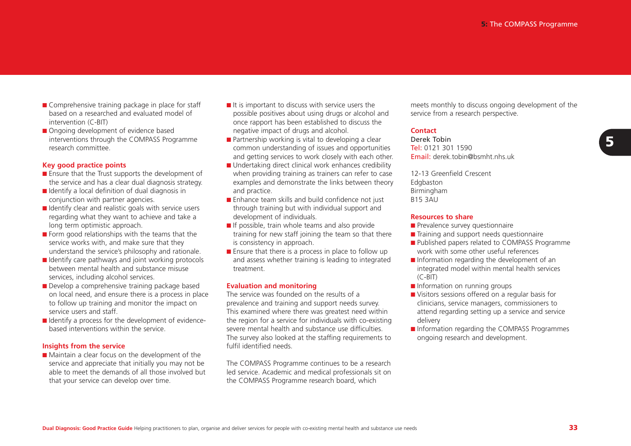- Comprehensive training package in place for staff based on a researched and evaluated model ofintervention (C-BIT)
- Ongoing development of evidence based interventions through the COMPASS Programme research committee.

#### **Key good practice points**

- Ensure that the Trust supports the development of the service and has a clear dual diagnosis strategy.
- Identify a local definition of dual diagnosis in conjunction with partner agencies.
- Identify clear and realistic goals with service users regarding what they want to achieve and take a long term optimistic approach.
- Form good relationships with the teams that the service works with, and make sure that they understand the service's philosophy and rationale.
- Identify care pathways and joint working protocols between mental health and substance misuseservices, including alcohol services.
- Develop a comprehensive training package based on local need, and ensure there is a process in place to follow up training and monitor the impact on service users and staff.
- Identify a process for the development of evidencebased interventions within the service.

#### **Insights from the service**

■ Maintain a clear focus on the development of the service and appreciate that initially you may not be able to meet the demands of all those involved butthat your service can develop over time.

- It is important to discuss with service users the possible positives about using drugs or alcohol and once rapport has been established to discuss the negative impact of drugs and alcohol.
- Partnership working is vital to developing a clear common understanding of issues and opportunities and getting services to work closely with each other.
- Undertaking direct clinical work enhances credibility when providing training as trainers can refer to case examples and demonstrate the links between theory and practice.
- Enhance team skills and build confidence not just through training but with individual support and development of individuals.
- If possible, train whole teams and also provide training for new staff joining the team so that there is consistency in approach.
- Ensure that there is a process in place to follow up and assess whether training is leading to integrated treatment.

#### **Evaluation and monitoring**

The service was founded on the results of aprevalence and training and support needs survey. This examined where there was greatest need within the region for a service for individuals with co-existing severe mental health and substance use difficulties.The survey also looked at the staffing requirements to fulfil identified needs.

The COMPASS Programme continues to be a research led service. Academic and medical professionals sit on the COMPASS Programme research board, which

meets monthly to discuss ongoing development of the service from a research perspective.

#### **Contact**

Derek Tobin**Tel:** 0121 301 1590 Email: derek.tobin@bsmht.nhs.uk

12-13 Greenfield CrescentEdgbaston Birmingham B15 3AU

#### **Resources to share**

- Prevalence survey questionnaire
- Training and support needs questionnaire
- Published papers related to COMPASS Programme work with some other useful references
- Information regarding the development of an integrated model within mental health services (C-BIT)
- Information on running groups
- Visitors sessions offered on a regular basis for clinicians, service managers, commissioners to attend regarding setting up a service and service delivery
- Information regarding the COMPASS Programmes ongoing research and development.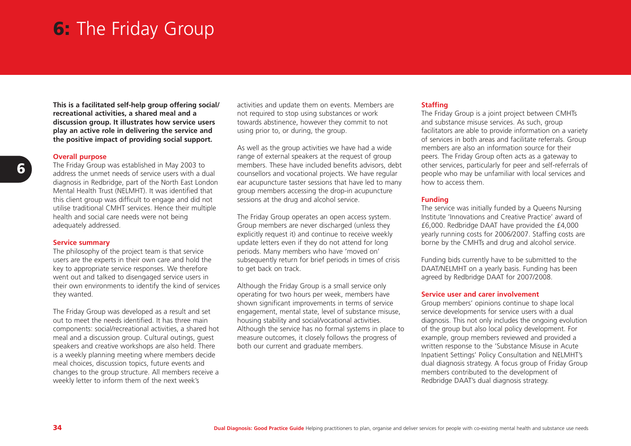# **6:** The Friday Group

**This is a facilitated self-help group offering social/ recreational activities, a shared meal and a discussion group. It illustrates how service users play an active role in delivering the service and the positive impact of providing social support.**

#### **Overall purpose**

The Friday Group was established in May 2003 to address the unmet needs of service users with a dualdiagnosis in Redbridge, part of the North East London Mental Health Trust (NELMHT). It was identified that this client group was difficult to engage and did not utilise traditional CMHT services. Hence their multiple health and social care needs were not being adequately addressed.

#### **Service summary**

The philosophy of the project team is that service users are the experts in their own care and hold the key to appropriate service responses. We therefore went out and talked to disengaged service users in their own environments to identify the kind of services they wanted.

The Friday Group was developed as a result and set out to meet the needs identified. It has three maincomponents: social/recreational activities, a shared hot meal and a discussion group. Cultural outings, guest speakers and creative workshops are also held. There is a weekly planning meeting where members decide meal choices, discussion topics, future events and changes to the group structure. All members receive a weekly letter to inform them of the next week's

activities and update them on events. Members are not required to stop using substances or work towards abstinence, however they commit to not using prior to, or during, the group.

As well as the group activities we have had a wide range of external speakers at the request of group members. These have included benefits advisors, debt counsellors and vocational projects. We have regular ear acupuncture taster sessions that have led to many group members accessing the drop-in acupuncture sessions at the drug and alcohol service.

The Friday Group operates an open access system. Group members are never discharged (unless they explicitly request it) and continue to receive weekly update letters even if they do not attend for long periods. Many members who have 'moved on' subsequently return for brief periods in times of crisis to get back on track.

Although the Friday Group is a small service only operating for two hours per week, members have shown significant improvements in terms of service engagement, mental state, level of substance misuse, housing stability and social/vocational activities. Although the service has no formal systems in place to measure outcomes, it closely follows the progress of both our current and graduate members.

### **Staffing**

The Friday Group is a joint project between CMHTs and substance misuse services. As such, group facilitators are able to provide information on a variety of services in both areas and facilitate referrals. Group members are also an information source for theirpeers. The Friday Group often acts as a gateway to other services, particularly for peer and self-referrals of people who may be unfamiliar with local services and how to access them.

#### **Funding**

The service was initially funded by a Queens Nursing Institute 'Innovations and Creative Practice' award of£6,000. Redbridge DAAT have provided the £4,000 yearly running costs for 2006/2007. Staffing costs are borne by the CMHTs and drug and alcohol service.

Funding bids currently have to be submitted to the DAAT/NELMHT on a yearly basis. Funding has been agreed by Redbridge DAAT for 2007/2008.

#### **Service user and carer involvement**

Group members' opinions continue to shape local service developments for service users with a dual diagnosis. This not only includes the ongoing evolution of the group but also local policy development. For example, group members reviewed and provided a written response to the 'Substance Misuse in Acute Inpatient Settings' Policy Consultation and NELMHT's dual diagnosis strategy. A focus group of Friday Group members contributed to the development of Redbridge DAAT's dual diagnosis strategy.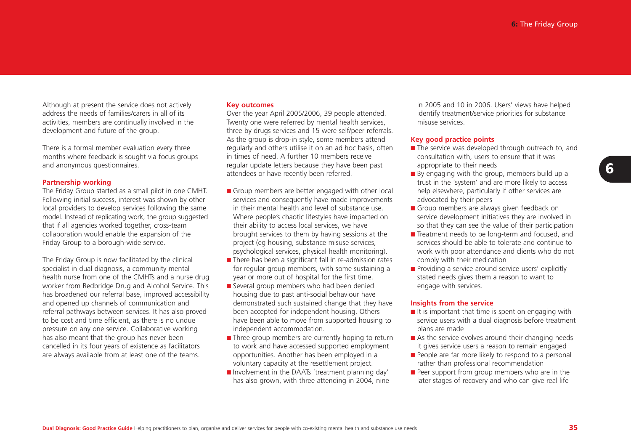Although at present the service does not actively address the needs of families/carers in all of itsactivities, members are continually involved in the development and future of the group.

There is a formal member evaluation every three months where feedback is sought via focus groups and anonymous questionnaires.

#### **Partnership working**

The Friday Group started as a small pilot in one CMHT. Following initial success, interest was shown by other local providers to develop services following the same model. Instead of replicating work, the group suggested that if all agencies worked together, cross-team collaboration would enable the expansion of the Friday Group to a borough-wide service.

The Friday Group is now facilitated by the clinical specialist in dual diagnosis, a community mental health nurse from one of the CMHTs and a nurse drug worker from Redbridge Drug and Alcohol Service. This has broadened our referral base, improved accessibility and opened up channels of communication and referral pathways between services. It has also proved to be cost and time efficient, as there is no undue pressure on any one service. Collaborative working has also meant that the group has never been cancelled in its four years of existence as facilitators are always available from at least one of the teams.

#### **Key outcomes**

Over the year April 2005/2006, 39 people attended. Twenty one were referred by mental health services, three by drugs services and 15 were self/peer referrals. As the group is drop-in style, some members attend regularly and others utilise it on an ad hoc basis, often in times of need. A further 10 members receiveregular update letters because they have been past attendees or have recently been referred.

- Group members are better engaged with other local services and consequently have made improvements in their mental health and level of substance use.Where people's chaotic lifestyles have impacted on their ability to access local services, we have brought services to them by having sessions at the project (eg housing, substance misuse services, psychological services, physical health monitoring).
- There has been a significant fall in re-admission rates for regular group members, with some sustaining a year or more out of hospital for the first time.
- Several group members who had been denied housing due to past anti-social behaviour have demonstrated such sustained change that they have been accepted for independent housing. Others have been able to move from supported housing to independent accommodation.
- Three group members are currently hoping to return to work and have accessed supported employment opportunities. Another has been employed in a voluntary capacity at the resettlement project.
- Involvement in the DAATs 'treatment planning day' has also grown, with three attending in 2004, nine

in 2005 and 10 in 2006. Users' views have helped identify treatment/service priorities for substance misuse services.

#### **Key good practice points**

- The service was developed through outreach to, and consultation with, users to ensure that it was appropriate to their needs
- $\blacksquare$  By engaging with the group, members build up a trust in the 'system' and are more likely to access help elsewhere, particularly if other services are advocated by their peers
- Group members are always given feedback on service development initiatives they are involved in so that they can see the value of their participation
- Treatment needs to be long-term and focused, and services should be able to tolerate and continue towork with poor attendance and clients who do not comply with their medication
- Providing a service around service users' explicitly stated needs gives them a reason to want to engage with services.

#### **Insights from the service**

- $\blacksquare$  It is important that time is spent on engaging with service users with a dual diagnosis before treatment plans are made
- As the service evolves around their changing needs it gives service users a reason to remain engaged
- People are far more likely to respond to a personal rather than professional recommendation
- Peer support from group members who are in the later stages of recovery and who can give real life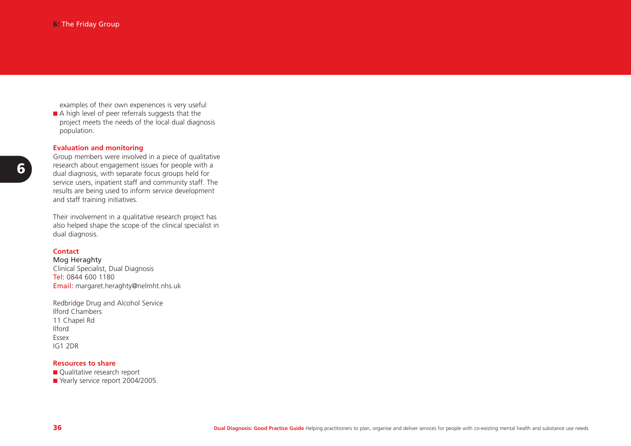examples of their own experiences is very useful ■ A high level of peer referrals suggests that the project meets the needs of the local dual diagnosis population.

### **Evaluation and monitoring**

Group members were involved in a piece of qualitative research about engagement issues for people with a dual diagnosis, with separate focus groups held for service users, inpatient staff and community staff. The results are being used to inform service development and staff training initiatives.

Their involvement in a qualitative research project has also helped shape the scope of the clinical specialist in dual diagnosis.

#### **Contact**

Mog Heraghty Clinical Specialist, Dual Diagnosis **Tel**: 0844 600 1180 **Email:** margaret.heraghty@nelmht.nhs.uk

Redbridge Drug and Alcohol Service Ilford Chambers11 Chapel Rd IlfordEssexIG1 2DR

#### **Resources to share**

■ Qualitative research report ■ Yearly service report 2004/2005.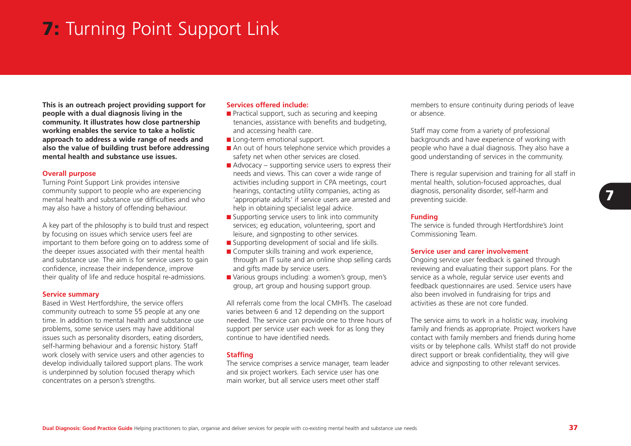# **7:** Turning Point Support Link

**This is an outreach project providing support for people with a dual diagnosis living in the community. It illustrates how close partnership working enables the service to take a holistic approach to address a wide range of needs and also the value of building trust before addressing mental health and substance use issues.**

#### **Overall purpose**

Turning Point Support Link provides intensive community support to people who are experiencing mental health and substance use difficulties and whomay also have a history of offending behaviour.

A key part of the philosophy is to build trust and respect by focusing on issues which service users feel are important to them before going on to address some of the deeper issues associated with their mental health and substance use. The aim is for service users to gain confidence, increase their independence, improve their quality of life and reduce hospital re-admissions.

#### **Service summary**

Based in West Hertfordshire, the service offers community outreach to some 55 people at any one time. In addition to mental health and substance useproblems, some service users may have additional issues such as personality disorders, eating disorders, self-harming behaviour and a forensic history. Staff work closely with service users and other agencies to develop individually tailored support plans. The work is underpinned by solution focused therapy which concentrates on a person's strengths.

## **Services offered include:**

- Practical support, such as securing and keeping tenancies, assistance with benefits and budgeting, and accessing health care.
- Long-term emotional support.
- An out of hours telephone service which provides a safety net when other services are closed.
- $\blacksquare$  Advocacy supporting service users to express their needs and views. This can cover a wide range of activities including support in CPA meetings, court hearings, contacting utility companies, acting as 'appropriate adults' if service users are arrested and help in obtaining specialist legal advice.
- Supporting service users to link into community services; eg education, volunteering, sport and leisure, and signposting to other services.
- Supporting development of social and life skills.
- Computer skills training and work experience, through an IT suite and an online shop selling cards and gifts made by service users.
- Various groups including: a women's group, men's group, art group and housing support group.

All referrals come from the local CMHTs. The caseloadvaries between 6 and 12 depending on the support needed. The service can provide one to three hours of support per service user each week for as long they continue to have identified needs.

#### **Staffing**

The service comprises a service manager, team leader and six project workers. Each service user has one main worker, but all service users meet other staff

members to ensure continuity during periods of leave or absence.

Staff may come from a variety of professional backgrounds and have experience of working with people who have a dual diagnosis. They also have a good understanding of services in the community.

There is regular supervision and training for all staff in mental health, solution-focused approaches, dual diagnosis, personality disorder, self-harm and preventing suicide.

#### **Funding**

The service is funded through Hertfordshire's Joint Commissioning Team.

#### **Service user and carer involvement**

Ongoing service user feedback is gained through reviewing and evaluating their support plans. For the service as a whole, regular service user events and feedback questionnaires are used. Service users have also been involved in fundraising for trips and activities as these are not core funded.

The service aims to work in a holistic way, involving family and friends as appropriate. Project workers have contact with family members and friends during home visits or by telephone calls. Whilst staff do not provide direct support or break confidentiality, they will give advice and signposting to other relevant services.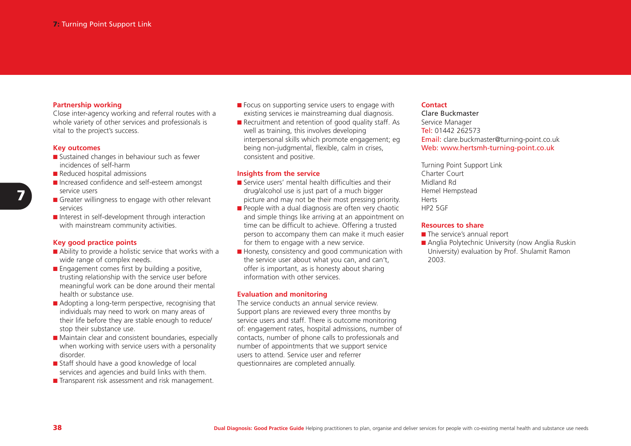#### **Partnership working**

Close inter-agency working and referral routes with a whole variety of other services and professionals is vital to the project's success.

#### **Key outcomes**

- Sustained changes in behaviour such as fewer incidences of self-harm
- Reduced hospital admissions
- Increased confidence and self-esteem amongst service users
- Greater willingness to engage with other relevant services
- Interest in self-development through interaction with mainstream community activities.

#### **Key good practice points**

- Ability to provide a holistic service that works with a wide range of complex needs.
- Engagement comes first by building a positive, trusting relationship with the service user before meaningful work can be done around their mental health or substance use.
- Adopting a long-term perspective, recognising that individuals may need to work on many areas of their life before they are stable enough to reduce/ stop their substance use.
- Maintain clear and consistent boundaries, especially when working with service users with a personality disorder.
- Staff should have a good knowledge of local services and agencies and build links with them.
- Transparent risk assessment and risk management.
- Focus on supporting service users to engage with existing services ie mainstreaming dual diagnosis.
- Recruitment and retention of good quality staff. As well as training, this involves developing interpersonal skills which promote engagement; eg being non-judgmental, flexible, calm in crises, consistent and positive.

#### **Insights from the service**

- Service users' mental health difficulties and their drug/alcohol use is just part of a much bigger picture and may not be their most pressing priority.
- People with a dual diagnosis are often very chaotic and simple things like arriving at an appointment on time can be difficult to achieve. Offering a trusted person to accompany them can make it much easier for them to engage with a new service.
- Honesty, consistency and good communication with the service user about what you can, and can't, offer is important, as is honesty about sharing information with other services.

#### **Evaluation and monitoring**

The service conducts an annual service review. Support plans are reviewed every three months by service users and staff. There is outcome monitoring of: engagement rates, hospital admissions, number of contacts, number of phone calls to professionals and number of appointments that we support service users to attend. Service user and referrerquestionnaires are completed annually.

#### **Contact**

Clare BuckmasterService Manager Tel: 01442 262573Email: clare.buckmaster@turning-point.co.uk Web: www.hertsmh-turning-point.co.uk

Turning Point Support Link Charter CourtMidland RdHemel Hempstead HertsHP2 5GF

#### **Resources to share**

- The service's annual report
- Anglia Polytechnic University (now Anglia Ruskin University) evaluation by Prof. Shulamit Ramon 2003.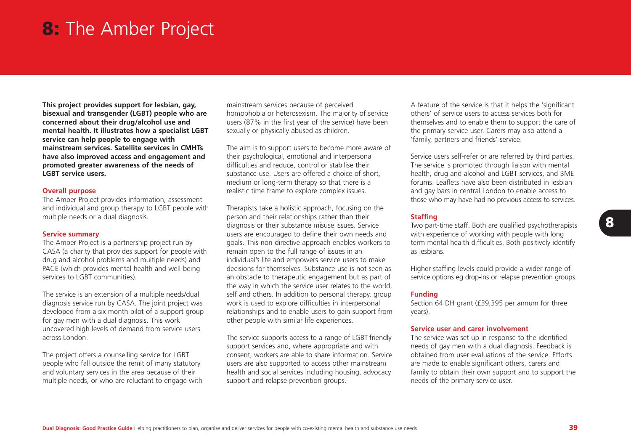# **8:** The Amber Project

**This project provides support for lesbian, gay, bisexual and transgender (LGBT) people who are concerned about their drug/alcohol use and mental health. It illustrates how a specialist LGBT service can help people to engage with mainstream services. Satellite services in CMHTshave also improved access and engagement and promoted greater awareness of the needs of LGBT service users.**

#### **Overall purpose**

The Amber Project provides information, assessment and individual and group therapy to LGBT people with multiple needs or a dual diagnosis.

#### **Service summary**

The Amber Project is a partnership project run by CASA (a charity that provides support for people with drug and alcohol problems and multiple needs) and PACE (which provides mental health and well-being services to LGBT communities).

The service is an extension of a multiple needs/dual diagnosis service run by CASA. The joint project was developed from a six month pilot of a support group for gay men with a dual diagnosis. This work uncovered high levels of demand from service users across London.

The project offers a counselling service for LGBT people who fall outside the remit of many statutory and voluntary services in the area because of their multiple needs, or who are reluctant to engage with

mainstream services because of perceived homophobia or heterosexism. The majority of service users (87% in the first year of the service) have been sexually or physically abused as children.

The aim is to support users to become more aware of their psychological, emotional and interpersonal difficulties and reduce, control or stabilise their substance use. Users are offered a choice of short, medium or long-term therapy so that there is a realistic time frame to explore complex issues.

Therapists take a holistic approach, focusing on the person and their relationships rather than their diagnosis or their substance misuse issues. Service users are encouraged to define their own needs and goals. This non-directive approach enables workers to remain open to the full range of issues in an individual's life and empowers service users to make decisions for themselves. Substance use is not seen asan obstacle to therapeutic engagement but as part of the way in which the service user relates to the world, self and others. In addition to personal therapy, group work is used to explore difficulties in interpersonal relationships and to enable users to gain support from other people with similar life experiences.

The service supports access to a range of LGBT-friendly support services and, where appropriate and with consent, workers are able to share information. Service users are also supported to access other mainstream health and social services including housing, advocacy support and relapse prevention groups.

A feature of the service is that it helps the 'significant others' of service users to access services both forthemselves and to enable them to support the care of the primary service user. Carers may also attend a 'family, partners and friends' service.

Service users self-refer or are referred by third parties. The service is promoted through liaison with mental health, drug and alcohol and LGBT services, and BME forums. Leaflets have also been distributed in lesbianand gay bars in central London to enable access to those who may have had no previous access to services.

#### **Staffing**

Two part-time staff. Both are qualified psychotherapists with experience of working with people with long term mental health difficulties. Both positively identify as lesbians.

Higher staffing levels could provide a wider range of service options eg drop-ins or relapse prevention groups.

#### **Funding**

Section 64 DH grant (£39,395 per annum for three years).

#### **Service user and carer involvement**

The service was set up in response to the identified needs of gay men with a dual diagnosis. Feedback is obtained from user evaluations of the service. Effortsare made to enable significant others, carers and family to obtain their own support and to support the needs of the primary service user.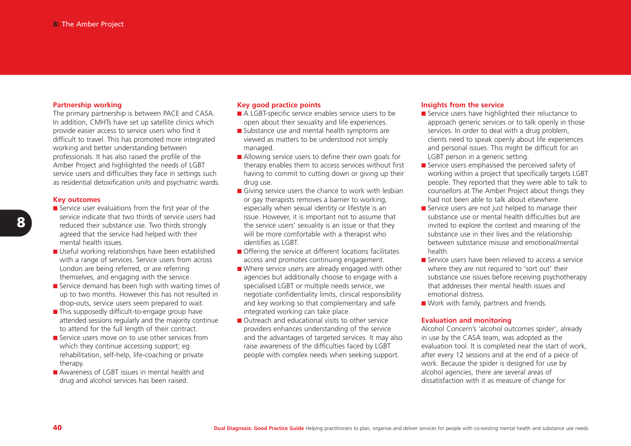#### **Partnership working**

The primary partnership is between PACE and CASA. In addition, CMHTs have set up satellite clinics which provide easier access to service users who find it difficult to travel. This has promoted more integrated working and better understanding between professionals. It has also raised the profile of the Amber Project and highlighted the needs of LGBT service users and difficulties they face in settings such as residential detoxification units and psychiatric wards.

#### **Key outcomes**

- Service user evaluations from the first year of the service indicate that two thirds of service users hadreduced their substance use. Two thirds strongly agreed that the service had helped with their mental health issues.
- Useful working relationships have been established with a range of services. Service users from across London are being referred, or are referring themselves, and engaging with the service.
- Service demand has been high with waiting times of up to two months. However this has not resulted in drop-outs, service users seem prepared to wait.
- This supposedly difficult-to-engage group have attended sessions regularly and the majority continue to attend for the full length of their contract.
- Service users move on to use other services from which they continue accessing support; eg rehabilitation, self-help, life-coaching or private therapy.
- Awareness of LGBT issues in mental health and drug and alcohol services has been raised.

#### **Key good practice points**

- A LGBT-specific service enables service users to be open about their sexuality and life experiences.
- Substance use and mental health symptoms are viewed as matters to be understood not simply managed.
- Allowing service users to define their own goals for therapy enables them to access services without first having to commit to cutting down or giving up their drug use.
- Giving service users the chance to work with lesbian or gay therapists removes a barrier to working, especially when sexual identity or lifestyle is an issue. However, it is important not to assume that the service users' sexuality is an issue or that they will be more comfortable with a therapist who identifies as LGBT.
- Offering the service at different locations facilitates access and promotes continuing engagement.
- Where service users are already engaged with other agencies but additionally choose to engage with a specialised LGBT or multiple needs service, we negotiate confidentiality limits, clinical responsibility and key working so that complementary and safe integrated working can take place.
- Outreach and educational visits to other service providers enhances understanding of the service and the advantages of targeted services. It may also raise awareness of the difficulties faced by LGBT people with complex needs when seeking support.

#### **Insights from the service**

- Service users have highlighted their reluctance to approach generic services or to talk openly in those services. In order to deal with a drug problem, clients need to speak openly about life experiences and personal issues. This might be difficult for an LGBT person in a generic setting.
- Service users emphasised the perceived safety of working within a project that specifically targets LGBT people. They reported that they were able to talk to counsellors at The Amber Project about things they had not been able to talk about elsewhere.
- Service users are not just helped to manage their substance use or mental health difficulties but areinvited to explore the context and meaning of the substance use in their lives and the relationship between substance misuse and emotional/mentalhealth.
- Service users have been relieved to access a servicewhere they are not required to 'sort out' their substance use issues before receiving psychotherapy that addresses their mental health issues andemotional distress.
- Work with family, partners and friends.

#### **Evaluation and monitoring**

Alcohol Concern's 'alcohol outcomes spider', already in use by the CASA team, was adopted as the evaluation tool. It is completed near the start of work, after every 12 sessions and at the end of a piece of work. Because the spider is designed for use by alcohol agencies, there are several areas of dissatisfaction with it as measure of change for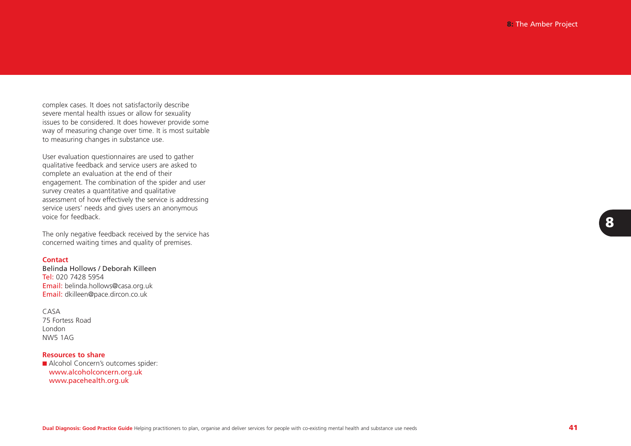complex cases. It does not satisfactorily describe severe mental health issues or allow for sexuality issues to be considered. It does however provide some way of measuring change over time. It is most suitable to measuring changes in substance use.

User evaluation questionnaires are used to gather qualitative feedback and service users are asked to complete an evaluation at the end of their engagement. The combination of the spider and user survey creates a quantitative and qualitative assessment of how effectively the service is addressing service users' needs and gives users an anonymous voice for feedback.

The only negative feedback received by the service has concerned waiting times and quality of premises.

#### **Contact**

Belinda Hollows / Deborah KilleenTel: 020 7428 5954Email: belinda.hollows@casa.org.uk Email: dkilleen@pace.dircon.co.uk

CASA75 Fortess RoadLondonNW5 1AG

#### **Resources to share**

■ Alcohol Concern's outcomes spider: www.alcoholconcern.org.uk www.pacehealth.org.uk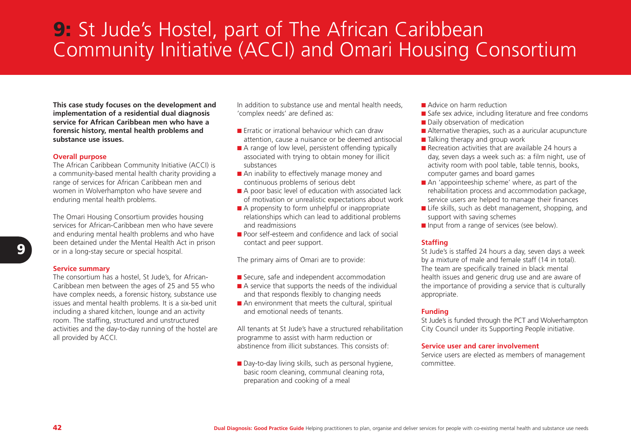# **9:** St Jude's Hostel, part of The African Caribbean Community Initiative (ACCI) and Omari Housing Consortium

**This case study focuses on the development and implementation of a residential dual diagnosis service for African Caribbean men who have aforensic history, mental health problems and substance use issues.** 

#### **Overall purpose**

The African Caribbean Community Initiative (ACCI) is a community-based mental health charity providing a range of services for African Caribbean men and women in Wolverhampton who have severe and enduring mental health problems.

The Omari Housing Consortium provides housing services for African-Caribbean men who have severeand enduring mental health problems and who have been detained under the Mental Health Act in prison or in a long-stay secure or special hospital.

#### **Service summary**

The consortium has a hostel, St Jude's, for African-Caribbean men between the ages of 25 and 55 who have complex needs, a forensic history, substance use issues and mental health problems. It is a six-bed unit including a shared kitchen, lounge and an activity room. The staffing, structured and unstructured activities and the day-to-day running of the hostel are all provided by ACCI.

In addition to substance use and mental health needs, 'complex needs' are defined as:

- Erratic or irrational behaviour which can draw attention, cause a nuisance or be deemed antisocial
- A range of low level, persistent offending typically associated with trying to obtain money for illicit substances
- An inability to effectively manage money and continuous problems of serious debt
- A poor basic level of education with associated lack of motivation or unrealistic expectations about work
- A propensity to form unhelpful or inappropriate relationships which can lead to additional problems and readmissions
- Poor self-esteem and confidence and lack of social contact and peer support.

The primary aims of Omari are to provide:

- Secure, safe and independent accommodation
- A service that supports the needs of the individual and that responds flexibly to changing needs
- An environment that meets the cultural, spiritual and emotional needs of tenants.

All tenants at St Jude's have a structured rehabilitationprogramme to assist with harm reduction or abstinence from illicit substances. This consists of:

■ Day-to-day living skills, such as personal hygiene, basic room cleaning, communal cleaning rota, preparation and cooking of a meal

- Advice on harm reduction
- Safe sex advice, including literature and free condoms
- Daily observation of medication
- Alternative therapies, such as a auricular acupuncture
- Talking therapy and group work
- Recreation activities that are available 24 hours a day, seven days a week such as: a film night, use of activity room with pool table, table tennis, books, computer games and board games
- An 'appointeeship scheme' where, as part of the rehabilitation process and accommodation package, service users are helped to manage their finances
- Life skills, such as debt management, shopping, and support with saving schemes
- Input from a range of services (see below).

#### **Staffing**

St Jude's is staffed 24 hours a day, seven days a week by a mixture of male and female staff (14 in total). The team are specifically trained in black mental health issues and generic drug use and are aware of the importance of providing a service that is culturally appropriate.

#### **Funding**

St Jude's is funded through the PCT and Wolverhampton City Council under its Supporting People initiative.

#### **Service user and carer involvement**

Service users are elected as members of management committee.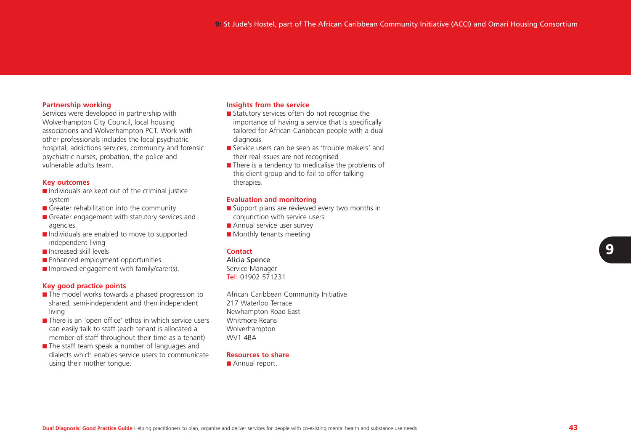#### **Partnership working**

Services were developed in partnership with Wolverhampton City Council, local housing associations and Wolverhampton PCT. Work with other professionals includes the local psychiatric hospital, addictions services, community and forensic psychiatric nurses, probation, the police and vulnerable adults team.

#### **Key outcomes**

- Individuals are kept out of the criminal justice system
- Greater rehabilitation into the community
- Greater engagement with statutory services and agencies
- Individuals are enabled to move to supported independent living
- Increased skill levels
- Enhanced employment opportunities
- Improved engagement with family/carer(s).

#### **Key good practice points**

- The model works towards a phased progression to shared, semi-independent and then independent living
- There is an 'open office' ethos in which service users can easily talk to staff (each tenant is allocated a member of staff throughout their time as a tenant)
- The staff team speak a number of languages and dialects which enables service users to communicateusing their mother tongue.

#### **Insights from the service**

- Statutory services often do not recognise the importance of having a service that is specifically tailored for African-Caribbean people with a dual diagnosis
- Service users can be seen as 'trouble makers' and their real issues are not recognised
- There is a tendency to medicalise the problems of this client group and to fail to offer talking therapies.

#### **Evaluation and monitoring**

- Support plans are reviewed every two months in conjunction with service users
- Annual service user survey
- Monthly tenants meeting

#### **Contact**

Alicia Spence Service Manager

**Tel:** 01902 571231

African Caribbean Community Initiative 217 Waterloo TerraceNewhampton Road East Whitmore ReansWolverhampton WV1 4BA

#### **Resources to share**

■ Annual report.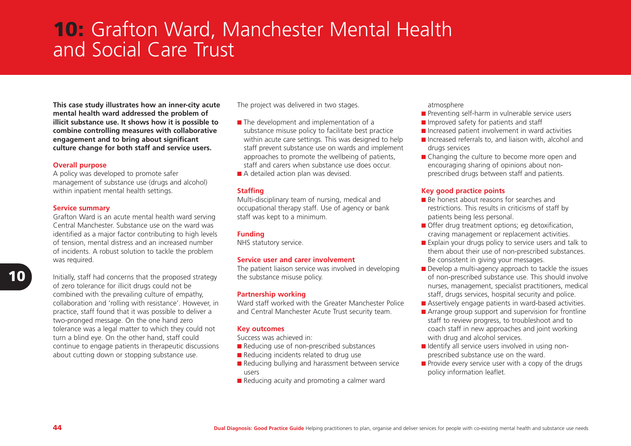# **10:** Grafton Ward, Manchester Mental Health and Social Care Trust

**This case study illustrates how an inner-city acute mental health ward addressed the problem of illicit substance use. It shows how it is possible to combine controlling measures with collaborative engagement and to bring about significant culture change for both staff and service users.**

#### **Overall purpose**

A policy was developed to promote safer management of substance use (drugs and alcohol) within inpatient mental health settings.

#### **Service summary**

Grafton Ward is an acute mental health ward serving Central Manchester. Substance use on the ward wasidentified as a major factor contributing to high levels of tension, mental distress and an increased number of incidents. A robust solution to tackle the problem was required.

Initially, staff had concerns that the proposed strategy of zero tolerance for illicit drugs could not be combined with the prevailing culture of empathy, collaboration and 'rolling with resistance'. However, in practice, staff found that it was possible to deliver a two-pronged message. On the one hand zero tolerance was a legal matter to which they could not turn a blind eye. On the other hand, staff could continue to engage patients in therapeutic discussions about cutting down or stopping substance use.

The project was delivered in two stages.

- The development and implementation of a substance misuse policy to facilitate best practice within acute care settings. This was designed to help staff prevent substance use on wards and implement approaches to promote the wellbeing of patients, staff and carers when substance use does occur.
- A detailed action plan was devised.

#### **Staffing**

Multi-disciplinary team of nursing, medical and occupational therapy staff. Use of agency or bank staff was kept to a minimum.

#### **Funding**

NHS statutory service.

### **Service user and carer involvement**

The patient liaison service was involved in developing the substance misuse policy.

#### **Partnership working**

Ward staff worked with the Greater Manchester Police and Central Manchester Acute Trust security team.

#### **Key outcomes**

Success was achieved in:

- Reducing use of non-prescribed substances
- Reducing incidents related to drug use
- Reducing bullying and harassment between service users
- Reducing acuity and promoting a calmer ward

#### atmosphere

- Preventing self-harm in vulnerable service users
- Improved safety for patients and staff
- Increased patient involvement in ward activities
- Increased referrals to, and liaison with, alcohol and drugs services
- Changing the culture to become more open and encouraging sharing of opinions about nonprescribed drugs between staff and patients.

#### **Key good practice points**

- Be honest about reasons for searches and restrictions. This results in criticisms of staff by patients being less personal.
- Offer drug treatment options; eg detoxification, craving management or replacement activities.
- Explain your drugs policy to service users and talk to them about their use of non-prescribed substances. Be consistent in giving your messages.
- Develop a multi-agency approach to tackle the issues of non-prescribed substance use. This should involve nurses, management, specialist practitioners, medical staff, drugs services, hospital security and police.
- Assertively engage patients in ward-based activities.
- Arrange group support and supervision for frontline staff to review progress, to troubleshoot and to coach staff in new approaches and joint working with drug and alcohol services.
- Identify all service users involved in using nonprescribed substance use on the ward.
- Provide every service user with a copy of the drugs policy information leaflet.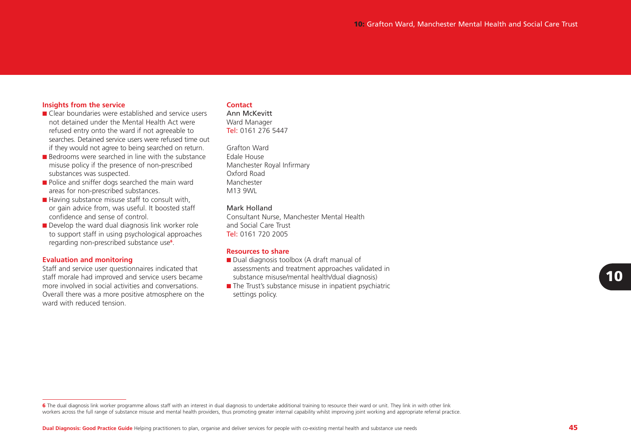#### **Insights from the service**

- Clear boundaries were established and service usersnot detained under the Mental Health Act wererefused entry onto the ward if not agreeable to searches. Detained service users were refused time outif they would not agree to being searched on return.
- Bedrooms were searched in line with the substance misuse policy if the presence of non-prescribed substances was suspected.
- Police and sniffer dogs searched the main ward areas for non-prescribed substances.
- Having substance misuse staff to consult with, or gain advice from, was useful. It boosted staff confidence and sense of control.
- Develop the ward dual diagnosis link worker role to support staff in using psychological approaches regarding non-prescribed substance use**<sup>6</sup>**.

#### **Evaluation and monitoring**

Staff and service user questionnaires indicated that staff morale had improved and service users became more involved in social activities and conversations.Overall there was a more positive atmosphere on the ward with reduced tension.

#### **Contact**

Ann McKevittWard Manager **Tel:** 0161 276 5447

Grafton WardEdale HouseManchester Royal Infirmary Oxford RoadManchester M13 9WI

#### Mark Holland

Consultant Nurse, Manchester Mental Health and Social Care Trust**Tel:** 0161 720 2005

#### **Resources to share**

- Dual diagnosis toolbox (A draft manual of assessments and treatment approaches validated in substance misuse/mental health/dual diagnosis)
- The Trust's substance misuse in inpatient psychiatric settings policy.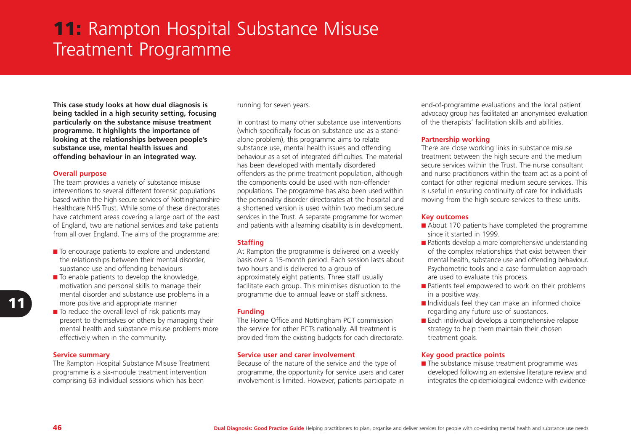# **11:** Rampton Hospital Substance Misuse Treatment Programme

**This case study looks at how dual diagnosis is being tackled in a high security setting, focusing particularly on the substance misuse treatment programme. It highlights the importance of looking at the relationships between people's substance use, mental health issues and offending behaviour in an integrated way.** 

#### **Overall purpose**

The team provides a variety of substance misuse interventions to several different forensic populations based within the high secure services of Nottinghamshire Healthcare NHS Trust. While some of these directorateshave catchment areas covering a large part of the east of England, two are national services and take patients from all over England. The aims of the programme are:

- To encourage patients to explore and understand the relationships between their mental disorder, substance use and offending behaviours
- $\blacksquare$  To enable patients to develop the knowledge, motivation and personal skills to manage their mental disorder and substance use problems in a more positive and appropriate manner
- To reduce the overall level of risk patients may present to themselves or others by managing their mental health and substance misuse problems more effectively when in the community.

#### **Service summary**

The Rampton Hospital Substance Misuse Treatment programme is a six-module treatment intervention comprising 63 individual sessions which has been

running for seven years.

In contrast to many other substance use interventions (which specifically focus on substance use as a standalone problem), this programme aims to relate substance use, mental health issues and offending behaviour as a set of integrated difficulties. The material has been developed with mentally disordered offenders as the prime treatment population, although the components could be used with non-offender populations. The programme has also been used within the personality disorder directorates at the hospital and a shortened version is used within two medium secureservices in the Trust. A separate programme for women and patients with a learning disability is in development.

#### **Staffing**

At Rampton the programme is delivered on a weekly basis over a 15-month period. Each session lasts about two hours and is delivered to a group of approximately eight patients. Three staff usually facilitate each group. This minimises disruption to the programme due to annual leave or staff sickness.

#### **Funding**

The Home Office and Nottingham PCT commission the service for other PCTs nationally. All treatment is provided from the existing budgets for each directorate.

#### **Service user and carer involvement**

Because of the nature of the service and the type of programme, the opportunity for service users and carer involvement is limited. However, patients participate in

end-of-programme evaluations and the local patient advocacy group has facilitated an anonymised evaluation of the therapists' facilitation skills and abilities.

#### **Partnership working**

There are close working links in substance misuse treatment between the high secure and the medium secure services within the Trust. The nurse consultantand nurse practitioners within the team act as a point of contact for other regional medium secure services. This is useful in ensuring continuity of care for individuals moving from the high secure services to these units.

#### **Key outcomes**

- About 170 patients have completed the programme since it started in 1999.
- Patients develop a more comprehensive understanding of the complex relationships that exist between their mental health, substance use and offending behaviour. Psychometric tools and a case formulation approach are used to evaluate this process.
- Patients feel empowered to work on their problems in a positive way.
- Individuals feel they can make an informed choice regarding any future use of substances.
- Each individual develops a comprehensive relapse strategy to help them maintain their chosen treatment goals.

## **Key good practice points**

■ The substance misuse treatment programme was developed following an extensive literature review and integrates the epidemiological evidence with evidence-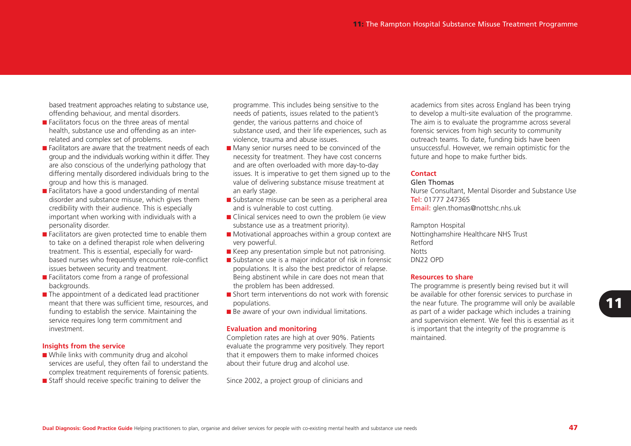based treatment approaches relating to substance use, offending behaviour, and mental disorders.

- Facilitators focus on the three areas of mental health, substance use and offending as an interrelated and complex set of problems.
- Facilitators are aware that the treatment needs of each group and the individuals working within it differ. They are also conscious of the underlying pathology that differing mentally disordered individuals bring to the group and how this is managed.
- Facilitators have a good understanding of mental disorder and substance misuse, which gives them credibility with their audience. This is especially important when working with individuals with a personality disorder.
- Facilitators are given protected time to enable them to take on a defined therapist role when delivering treatment. This is essential, especially for wardbased nurses who frequently encounter role-conflict issues between security and treatment.
- Facilitators come from a range of professional backgrounds.
- The appointment of a dedicated lead practitioner meant that there was sufficient time, resources, and funding to establish the service. Maintaining the service requires long term commitment and investment.

#### **Insights from the service**

- While links with community drug and alcohol services are useful, they often fail to understand the complex treatment requirements of forensic patients.
- Staff should receive specific training to deliver the

programme. This includes being sensitive to the needs of patients, issues related to the patient's gender, the various patterns and choice of substance used, and their life experiences, such as violence, trauma and abuse issues.

- Many senior nurses need to be convinced of the necessity for treatment. They have cost concerns and are often overloaded with more day-to-day issues. It is imperative to get them signed up to the value of delivering substance misuse treatment at an early stage.
- Substance misuse can be seen as a peripheral area and is vulnerable to cost cutting.
- Clinical services need to own the problem (ie view substance use as a treatment priority).
- Motivational approaches within a group context are very powerful.
- Keep any presentation simple but not patronising.
- Substance use is a major indicator of risk in forensic populations. It is also the best predictor of relapse. Being abstinent while in care does not mean that the problem has been addressed.
- Short term interventions do not work with forensic populations.
- Be aware of your own individual limitations.

#### **Evaluation and monitoring**

Completion rates are high at over 90%. Patients evaluate the programme very positively. They report that it empowers them to make informed choices about their future drug and alcohol use.

Since 2002, a project group of clinicians and

academics from sites across England has been trying to develop a multi-site evaluation of the programme. The aim is to evaluate the programme across several forensic services from high security to community outreach teams. To date, funding bids have been unsuccessful. However, we remain optimistic for the future and hope to make further bids.

#### **Contact**

#### Glen Thomas

Nurse Consultant, Mental Disorder and Substance Use **Tel:** 01777 247365 Email: glen.thomas@nottshc.nhs.uk

Rampton Hospital Nottinghamshire Healthcare NHS Trust Retford**Notts** DN22 OPD

#### **Resources to share**

The programme is presently being revised but it will be available for other forensic services to purchase in the near future. The programme will only be available as part of a wider package which includes a training and supervision element. We feel this is essential as it is important that the integrity of the programme is maintained.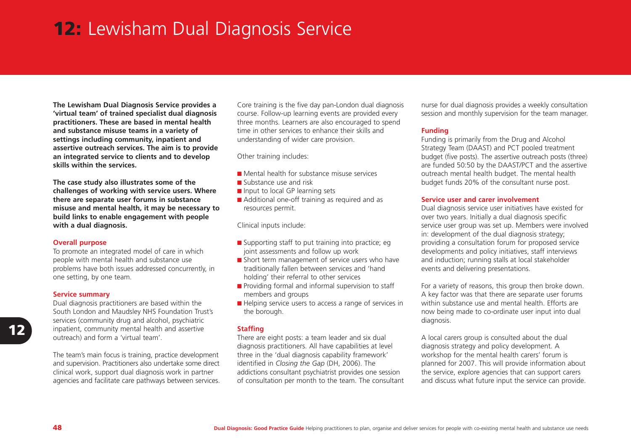# **12:** Lewisham Dual Diagnosis Service

**The Lewisham Dual Diagnosis Service provides a 'virtual team' of trained specialist dual diagnosis practitioners. These are based in mental health and substance misuse teams in a variety of settings including community, inpatient and assertive outreach services. The aim is to provide an integrated service to clients and to develop skills within the services.** 

**The case study also illustrates some of the challenges of working with service users. Where there are separate user forums in substance misuse and mental health, it may be necessary to build links to enable engagement with people with a dual diagnosis.** 

#### **Overall purpose**

To promote an integrated model of care in which people with mental health and substance use problems have both issues addressed concurrently, in one setting, by one team.

#### **Service summary**

Dual diagnosis practitioners are based within the South London and Maudsley NHS Foundation Trust's services (community drug and alcohol, psychiatric inpatient, community mental health and assertive outreach) and form a 'virtual team'.

The team's main focus is training, practice development and supervision. Practitioners also undertake some direct clinical work, support dual diagnosis work in partner agencies and facilitate care pathways between services.

Core training is the five day pan-London dual diagnosis course. Follow-up learning events are provided every three months. Learners are also encouraged to spend time in other services to enhance their skills andunderstanding of wider care provision.

Other training includes:

- Mental health for substance misuse services
- Substance use and risk
- Input to local GP learning sets
- Additional one-off training as required and as resources permit.

Clinical inputs include:

- Supporting staff to put training into practice; eg joint assessments and follow up work
- Short term management of service users who have traditionally fallen between services and 'hand holding' their referral to other services
- Providing formal and informal supervision to staff members and groups
- Helping service users to access a range of services in the borough.

#### **Staffing**

There are eight posts: a team leader and six dual diagnosis practitioners. All have capabilities at level three in the 'dual diagnosis capability framework' identified in *Closing the Gap* (DH, 2006). The addictions consultant psychiatrist provides one session of consultation per month to the team. The consultant nurse for dual diagnosis provides a weekly consultation session and monthly supervision for the team manager.

### **Funding**

Funding is primarily from the Drug and Alcohol Strategy Team (DAAST) and PCT pooled treatment budget (five posts). The assertive outreach posts (three) are funded 50:50 by the DAAST/PCT and the assertive outreach mental health budget. The mental health budget funds 20% of the consultant nurse post.

#### **Service user and carer involvement**

Dual diagnosis service user initiatives have existed for over two years. Initially a dual diagnosis specific service user group was set up. Members were involved in: development of the dual diagnosis strategy; providing a consultation forum for proposed service developments and policy initiatives, staff interviews and induction; running stalls at local stakeholder events and delivering presentations.

For a variety of reasons, this group then broke down. A key factor was that there are separate user forums within substance use and mental health. Efforts arenow being made to co-ordinate user input into dual diagnosis.

A local carers group is consulted about the dual diagnosis strategy and policy development. A workshop for the mental health carers' forum is planned for 2007. This will provide information about the service, explore agencies that can support carers and discuss what future input the service can provide.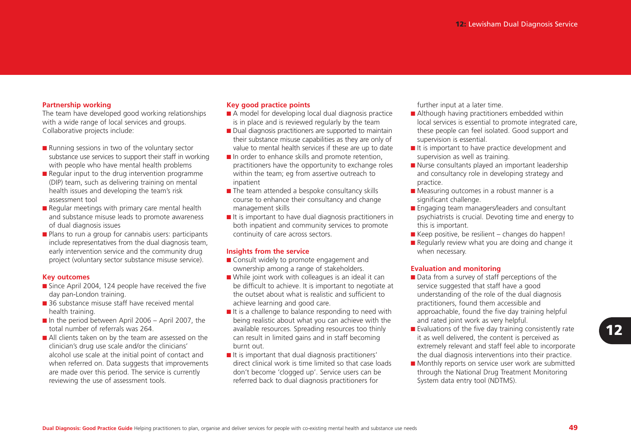#### **Partnership working**

The team have developed good working relationships with a wide range of local services and groups. Collaborative projects include:

- Running sessions in two of the voluntary sector substance use services to support their staff in working with people who have mental health problems
- Regular input to the drug intervention programme (DIP) team, such as delivering training on mental health issues and developing the team's risk assessment tool
- Regular meetings with primary care mental health and substance misuse leads to promote awareness of dual diagnosis issues
- Plans to run a group for cannabis users: participants include representatives from the dual diagnosis team, early intervention service and the community drug project (voluntary sector substance misuse service).

#### **Key outcomes**

- Since April 2004, 124 people have received the five day pan-London training.
- 36 substance misuse staff have received mental health training.
- $\blacksquare$  In the period between April 2006 April 2007, the total number of referrals was 264.
- All clients taken on by the team are assessed on the clinician's drug use scale and/or the clinicians' alcohol use scale at the initial point of contact and when referred on. Data suggests that improvements are made over this period. The service is currently reviewing the use of assessment tools.

#### **Key good practice points**

- A model for developing local dual diagnosis practice is in place and is reviewed regularly by the team
- Dual diagnosis practitioners are supported to maintain their substance misuse capabilities as they are only of value to mental health services if these are up to date
- In order to enhance skills and promote retention, practitioners have the opportunity to exchange roles within the team; eg from assertive outreach to inpatient
- The team attended a bespoke consultancy skills course to enhance their consultancy and change management skills
- It is important to have dual diagnosis practitioners in both inpatient and community services to promote continuity of care across sectors.

#### **Insights from the service**

- Consult widely to promote engagement and ownership among a range of stakeholders.
- While joint work with colleagues is an ideal it can be difficult to achieve. It is important to negotiate at the outset about what is realistic and sufficient toachieve learning and good care.
- It is a challenge to balance responding to need with being realistic about what you can achieve with the available resources. Spreading resources too thinly can result in limited gains and in staff becoming burnt out.
- It is important that dual diagnosis practitioners' direct clinical work is time limited so that case loadsdon't become 'clogged up'. Service users can be referred back to dual diagnosis practitioners for

further input at a later time.

- Although having practitioners embedded within local services is essential to promote integrated care, these people can feel isolated. Good support and supervision is essential.
- It is important to have practice development and supervision as well as training.
- Nurse consultants played an important leadership and consultancy role in developing strategy and practice.
- Measuring outcomes in a robust manner is a significant challenge.
- Engaging team managers/leaders and consultant psychiatrists is crucial. Devoting time and energy to this is important.
- $\blacksquare$  Keep positive, be resilient changes do happen!
- Regularly review what you are doing and change it when necessary.

#### **Evaluation and monitoring**

- Data from a survey of staff perceptions of the service suggested that staff have a good understanding of the role of the dual diagnosis practitioners, found them accessible and approachable, found the five day training helpful and rated joint work as very helpful.
- Evaluations of the five day training consistently rate it as well delivered, the content is perceived as extremely relevant and staff feel able to incorporate the dual diagnosis interventions into their practice.
- Monthly reports on service user work are submitted through the National Drug Treatment Monitoring System data entry tool (NDTMS).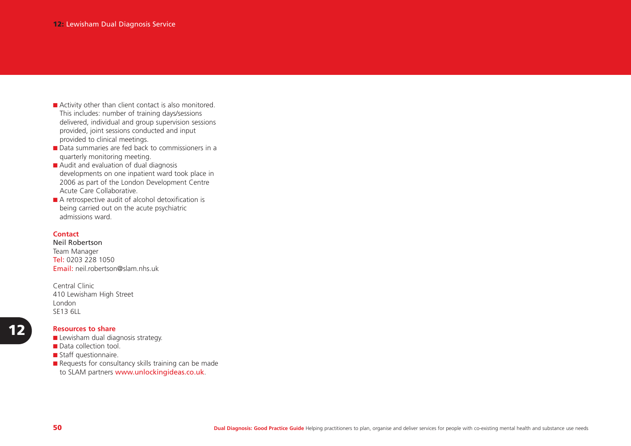- Activity other than client contact is also monitored. This includes: number of training days/sessions delivered, individual and group supervision sessions provided, joint sessions conducted and input provided to clinical meetings.
- Data summaries are fed back to commissioners in a quarterly monitoring meeting.
- Audit and evaluation of dual diagnosis developments on one inpatient ward took place in 2006 as part of the London Development Centre Acute Care Collaborative.
- A retrospective audit of alcohol detoxification is being carried out on the acute psychiatric admissions ward.

#### **Contact**

Neil Robertson Team Manager **Tel:** 0203 228 1050 Email: neil.robertson@slam.nhs.uk

Central Clinic410 Lewisham High Street London SE13 6LL

#### **Resources to share**

■ Lewisham dual diagnosis strategy.

- Data collection tool.
- Staff questionnaire.
- Requests for consultancy skills training can be made
- to SLAM partners www.unlockingideas.co.uk.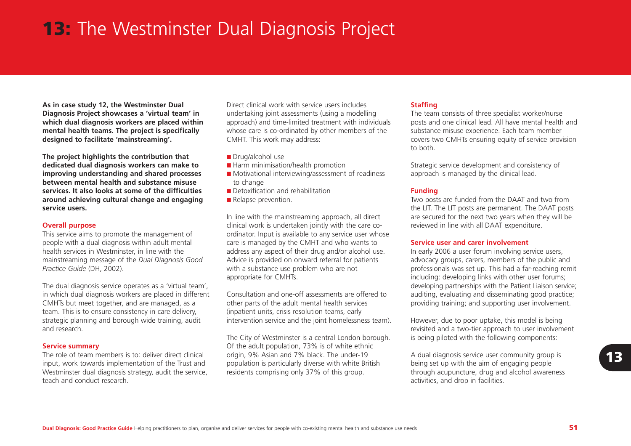# **13:** The Westminster Dual Diagnosis Project

**As in case study 12, the Westminster Dual Diagnosis Project showcases a 'virtual team' in which dual diagnosis workers are placed within mental health teams. The project is specifically designed to facilitate 'mainstreaming'.** 

**The project highlights the contribution that dedicated dual diagnosis workers can make to improving understanding and shared processes between mental health and substance misuseservices. It also looks at some of the difficultiesaround achieving cultural change and engaging service users.** 

#### **Overall purpose**

This service aims to promote the management of people with a dual diagnosis within adult mental health services in Westminster, in line with the mainstreaming message of the *Dual Diagnosis Good Practice Guide* (DH, 2002).

The dual diagnosis service operates as a 'virtual team', in which dual diagnosis workers are placed in different CMHTs but meet together, and are managed, as a team. This is to ensure consistency in care delivery, strategic planning and borough wide training, audit and research.

#### **Service summary**

The role of team members is to: deliver direct clinicalinput, work towards implementation of the Trust and Westminster dual diagnosis strategy, audit the service, teach and conduct research.

Direct clinical work with service users includesundertaking joint assessments (using a modelling approach) and time-limited treatment with individuals whose care is co-ordinated by other members of the CMHT. This work may address:

- Drug/alcohol use
- Harm minimisation/health promotion
- Motivational interviewing/assessment of readiness to change
- Detoxification and rehabilitation
- Relapse prevention.

In line with the mainstreaming approach, all direct clinical work is undertaken jointly with the care coordinator. Input is available to any service user whose care is managed by the CMHT and who wants to address any aspect of their drug and/or alcohol use. Advice is provided on onward referral for patients with a substance use problem who are not appropriate for CMHTs.

Consultation and one-off assessments are offered toother parts of the adult mental health services (inpatient units, crisis resolution teams, early intervention service and the joint homelessness team).

The City of Westminster is a central London borough. Of the adult population, 73% is of white ethnic origin, 9% Asian and 7% black. The under-19 population is particularly diverse with white British residents comprising only 37% of this group.

#### **Staffing**

The team consists of three specialist worker/nurse posts and one clinical lead. All have mental health and substance misuse experience. Each team member covers two CMHTs ensuring equity of service provision to both.

Strategic service development and consistency of approach is managed by the clinical lead.

#### **Funding**

Two posts are funded from the DAAT and two from the LIT. The LIT posts are permanent. The DAAT posts are secured for the next two years when they will be reviewed in line with all DAAT expenditure.

#### **Service user and carer involvement**

In early 2006 a user forum involving service users, advocacy groups, carers, members of the public and professionals was set up. This had a far-reaching remit including: developing links with other user forums; developing partnerships with the Patient Liaison service; auditing, evaluating and disseminating good practice; providing training; and supporting user involvement.

However, due to poor uptake, this model is being revisited and a two-tier approach to user involvement is being piloted with the following components:

A dual diagnosis service user community group is being set up with the aim of engaging people through acupuncture, drug and alcohol awareness activities, and drop in facilities.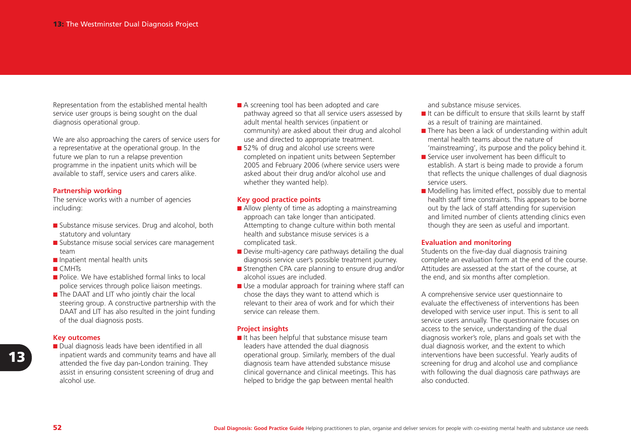Representation from the established mental health service user groups is being sought on the dual diagnosis operational group.

We are also approaching the carers of service users for a representative at the operational group. In the future we plan to run a relapse prevention programme in the inpatient units which will be available to staff, service users and carers alike.

#### **Partnership working**

The service works with a number of agencies including:

- Substance misuse services. Drug and alcohol, both statutory and voluntary
- Substance misuse social services care management team
- Inpatient mental health units
- CMHTs
- Police. We have established formal links to local police services through police liaison meetings.
- The DAAT and LIT who jointly chair the local steering group. A constructive partnership with the DAAT and LIT has also resulted in the joint funding of the dual diagnosis posts.

#### **Key outcomes**

■ Dual diagnosis leads have been identified in all inpatient wards and community teams and have all attended the five day pan-London training. They assist in ensuring consistent screening of drug and alcohol use.

- A screening tool has been adopted and care pathway agreed so that all service users assessed by adult mental health services (inpatient or community) are asked about their drug and alcohol use and directed to appropriate treatment.
- 52% of drug and alcohol use screens were completed on inpatient units between September 2005 and February 2006 (where service users were asked about their drug and/or alcohol use and whether they wanted help).

#### **Key good practice points**

- Allow plenty of time as adopting a mainstreaming approach can take longer than anticipated. Attempting to change culture within both mental health and substance misuse services is acomplicated task.
- Devise multi-agency care pathways detailing the dual diagnosis service user's possible treatment journey.
- Strengthen CPA care planning to ensure drug and/or alcohol issues are included.
- Use a modular approach for training where staff can chose the days they want to attend which is relevant to their area of work and for which theirservice can release them.

#### **Project insights**

■ It has been helpful that substance misuse team leaders have attended the dual diagnosis operational group. Similarly, members of the dual diagnosis team have attended substance misuse clinical governance and clinical meetings. This has helped to bridge the gap between mental health

and substance misuse services.

- It can be difficult to ensure that skills learnt by staff as a result of training are maintained.
- There has been a lack of understanding within adult mental health teams about the nature of'mainstreaming', its purpose and the policy behind it.
- Service user involvement has been difficult to establish. A start is being made to provide a forum that reflects the unique challenges of dual diagnosis service users.
- Modelling has limited effect, possibly due to mental health staff time constraints. This appears to be borne out by the lack of staff attending for supervision and limited number of clients attending clinics even though they are seen as useful and important.

#### **Evaluation and monitoring**

Students on the five-day dual diagnosis training complete an evaluation form at the end of the course. Attitudes are assessed at the start of the course, at the end, and six months after completion.

A comprehensive service user questionnaire to evaluate the effectiveness of interventions has beendeveloped with service user input. This is sent to all service users annually. The questionnaire focuses on access to the service, understanding of the dual diagnosis worker's role, plans and goals set with the dual diagnosis worker, and the extent to which interventions have been successful. Yearly audits of screening for drug and alcohol use and compliance with following the dual diagnosis care pathways are also conducted.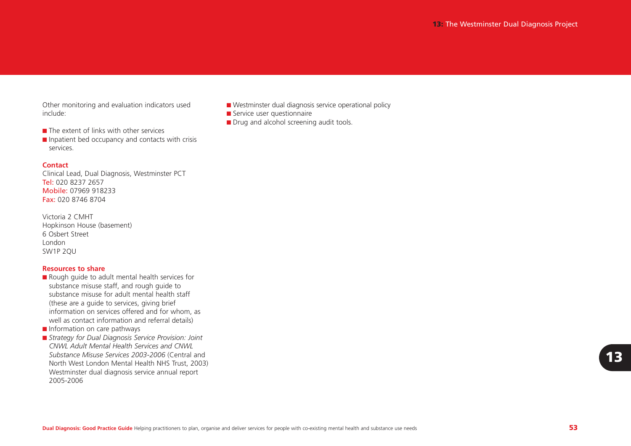Other monitoring and evaluation indicators used include:

- The extent of links with other services
- Inpatient bed occupancy and contacts with crisis services.

#### **Contact**

Clinical Lead, Dual Diagnosis, Westminster PCT **Tel:** 020 8237 2657 **Mobile:** 07969 918233 **Fax:** 020 8746 8704

| Victoria 2 CMHT            |
|----------------------------|
| Hopkinson House (basement) |
| 6 Osbert Street            |
| London                     |
| SW1P 2QU                   |

#### **Resources to share**

- Rough guide to adult mental health services for substance misuse staff, and rough guide to substance misuse for adult mental health staff(these are a guide to services, giving brief information on services offered and for whom, as well as contact information and referral details)
- Information on care pathways
- *Strategy for Dual Diagnosis Service Provision: Joint CNWL Adult Mental Health Services and CNWLSubstance Misuse Services 2003-2006* (Central and North West London Mental Health NHS Trust, 2003) Westminster dual diagnosis service annual report 2005-2006
- Westminster dual diagnosis service operational policy
- Service user questionnaire
- Drug and alcohol screening audit tools.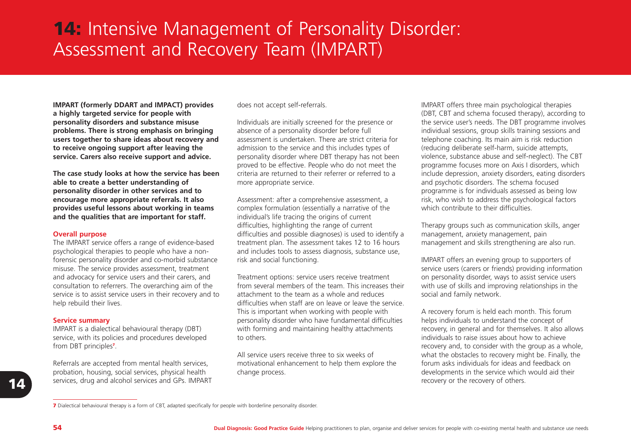# **14:** Intensive Management of Personality Disorder: Assessment and Recovery Team (IMPART)

**IMPART (formerly DDART and IMPACT) provides a highly targeted service for people with personality disorders and substance misuse problems. There is strong emphasis on bringing users together to share ideas about recovery and to receive ongoing support after leaving the service. Carers also receive support and advice.** 

**The case study looks at how the service has been able to create a better understanding of personality disorder in other services and to encourage more appropriate referrals. It also provides useful lessons about working in teams and the qualities that are important for staff.** 

#### **Overall purpose**

The IMPART service offers a range of evidence-based psychological therapies to people who have a nonforensic personality disorder and co-morbid substance misuse. The service provides assessment, treatment and advocacy for service users and their carers, and consultation to referrers. The overarching aim of the service is to assist service users in their recovery and to help rebuild their lives.

#### **Service summary**

IMPART is a dialectical behavioural therapy (DBT) service, with its policies and procedures developed from DBT principles**<sup>7</sup>**.

Referrals are accepted from mental health services, probation, housing, social services, physical health services, drug and alcohol services and GPs. IMPART does not accept self-referrals.

Individuals are initially screened for the presence or absence of a personality disorder before full assessment is undertaken. There are strict criteria foradmission to the service and this includes types of personality disorder where DBT therapy has not been proved to be effective. People who do not meet the criteria are returned to their referrer or referred to amore appropriate service.

Assessment: after a comprehensive assessment, a complex formulation (essentially a narrative of the individual's life tracing the origins of current difficulties, highlighting the range of current difficulties and possible diagnoses) is used to identify a treatment plan. The assessment takes 12 to 16 hours and includes tools to assess diagnosis, substance use, risk and social functioning.

Treatment options: service users receive treatment from several members of the team. This increases theirattachment to the team as a whole and reducesdifficulties when staff are on leave or leave the service. This is important when working with people with personality disorder who have fundamental difficulties with forming and maintaining healthy attachments to others.

All service users receive three to six weeks ofmotivational enhancement to help them explore the change process.

IMPART offers three main psychological therapies (DBT, CBT and schema focused therapy), according to the service user's needs. The DBT programme involves individual sessions, group skills training sessions and telephone coaching. Its main aim is risk reduction (reducing deliberate self-harm, suicide attempts, violence, substance abuse and self-neglect). The CBT programme focuses more on Axis I disorders, which include depression, anxiety disorders, eating disorders and psychotic disorders. The schema focused programme is for individuals assessed as being low risk, who wish to address the psychological factors which contribute to their difficulties.

Therapy groups such as communication skills, anger management, anxiety management, pain management and skills strengthening are also run.

IMPART offers an evening group to supporters of service users (carers or friends) providing information on personality disorder, ways to assist service users with use of skills and improving relationships in the social and family network.

A recovery forum is held each month. This forum helps individuals to understand the concept of recovery, in general and for themselves. It also allows individuals to raise issues about how to achieverecovery and, to consider with the group as a whole, what the obstacles to recovery might be. Finally, the forum asks individuals for ideas and feedback ondevelopments in the service which would aid their recovery or the recovery of others.

**14**

**<sup>7</sup>** Dialectical behavioural therapy is a form of CBT, adapted specifically for people with borderline personality disorder.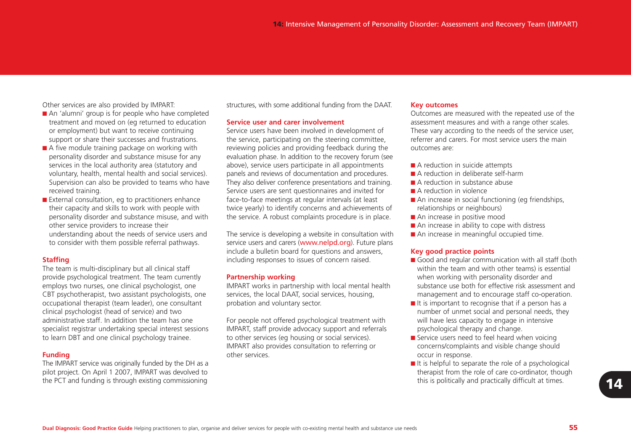Other services are also provided by IMPART:

- An 'alumni' group is for people who have completed treatment and moved on (eg returned to education or employment) but want to receive continuing support or share their successes and frustrations.
- A five module training package on working with personality disorder and substance misuse for any services in the local authority area (statutory and voluntary, health, mental health and social services). Supervision can also be provided to teams who have received training.
- External consultation, eg to practitioners enhance their capacity and skills to work with people with personality disorder and substance misuse, and with other service providers to increase their understanding about the needs of service users and to consider with them possible referral pathways.

#### **Staffing**

The team is multi-disciplinary but all clinical staff provide psychological treatment. The team currently employs two nurses, one clinical psychologist, one CBT psychotherapist, two assistant psychologists, one occupational therapist (team leader), one consultant clinical psychologist (head of service) and two administrative staff. In addition the team has onespecialist registrar undertaking special interest sessions to learn DBT and one clinical psychology trainee.

#### **Funding**

The IMPART service was originally funded by the DH as a pilot project. On April 1 2007, IMPART was devolved to the PCT and funding is through existing commissioning

structures, with some additional funding from the DAAT.

#### **Service user and carer involvement**

Service users have been involved in development of the service, participating on the steering committee, reviewing policies and providing feedback during the evaluation phase. In addition to the recovery forum (see above), service users participate in all appointments panels and reviews of documentation and procedures. They also deliver conference presentations and training. Service users are sent questionnaires and invited for face-to-face meetings at regular intervals (at least twice yearly) to identify concerns and achievements of the service. A robust complaints procedure is in place.

The service is developing a website in consultation with service users and carers (www.nelpd.org). Future plans include a bulletin board for questions and answers, including responses to issues of concern raised.

#### **Partnership working**

IMPART works in partnership with local mental health services, the local DAAT, social services, housing, probation and voluntary sector.

For people not offered psychological treatment with IMPART, staff provide advocacy support and referrals to other services (eg housing or social services). IMPART also provides consultation to referring or other services.

#### **Key outcomes**

Outcomes are measured with the repeated use of the assessment measures and with a range other scales. These vary according to the needs of the service user, referrer and carers. For most service users the mainoutcomes are:

- A reduction in suicide attempts
- A reduction in deliberate self-harm
- A reduction in substance abuse
- A reduction in violence
- An increase in social functioning (eg friendships, relationships or neighbours)
- An increase in positive mood
- An increase in ability to cope with distress
- An increase in meaningful occupied time.

#### **Key good practice points**

- Good and regular communication with all staff (both within the team and with other teams) is essential when working with personality disorder and substance use both for effective risk assessment andmanagement and to encourage staff co-operation.
- It is important to recognise that if a person has a number of unmet social and personal needs, they will have less capacity to engage in intensive psychological therapy and change.
- Service users need to feel heard when voicing concerns/complaints and visible change should occur in response.
- $\blacksquare$  It is helpful to separate the role of a psychological therapist from the role of care co-ordinator, though this is politically and practically difficult at times. **14**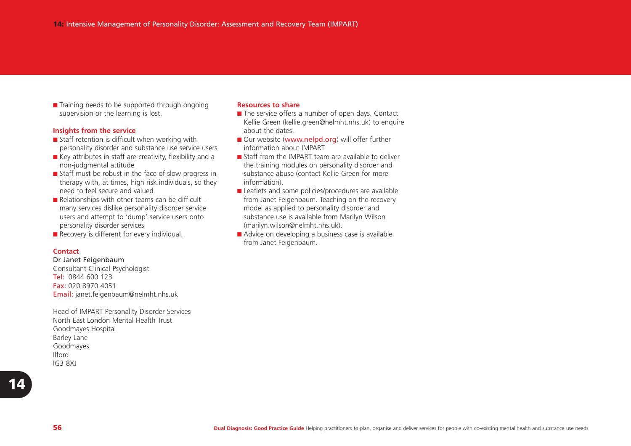■ Training needs to be supported through ongoing supervision or the learning is lost.

#### **Insights from the service**

- Staff retention is difficult when working with personality disorder and substance use service users
- Key attributes in staff are creativity, flexibility and a non-judgmental attitude
- Staff must be robust in the face of slow progress in therapy with, at times, high risk individuals, so they need to feel secure and valued
- $\blacksquare$  Relationships with other teams can be difficult  $$ many services dislike personality disorder service users and attempt to 'dump' service users onto personality disorder services
- Recovery is different for every individual.

#### **Contact**

#### Dr Janet Feigenbaum

Consultant Clinical Psychologist **Tel:** 0844 600 123 **Fax:** 020 8970 4051 Email: janet.feigenbaum@nelmht.nhs.uk

Head of IMPART Personality Disorder Services North East London Mental Health TrustGoodmayes Hospital Barley Lane Goodmayes Ilford IG3 8XJ

#### **Resources to share**

- The service offers a number of open days. Contact Kellie Green (kellie.green@nelmht.nhs.uk) to enquire about the dates.
- Our website (www.nelpd.org) will offer further information about IMPART.
- Staff from the IMPART team are available to deliver the training modules on personality disorder and substance abuse (contact Kellie Green for more information).
- Leaflets and some policies/procedures are available from Janet Feigenbaum. Teaching on the recovery model as applied to personality disorder and substance use is available from Marilyn Wilson (marilyn.wilson@nelmht.nhs.uk).
- Advice on developing a business case is available from Janet Feigenbaum.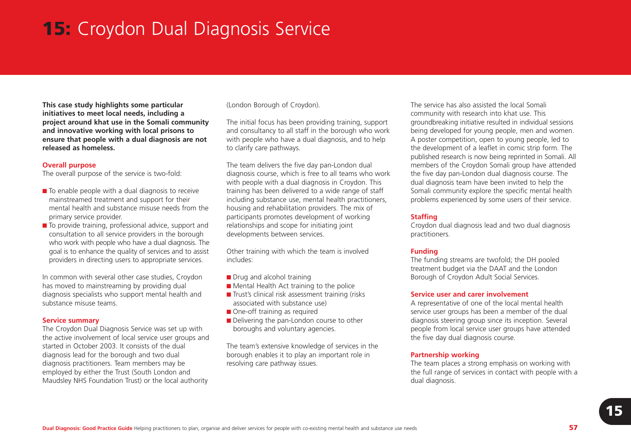# **15:** Croydon Dual Diagnosis Service

**This case study highlights some particular initiatives to meet local needs, including a project around khat use in the Somali community and innovative working with local prisons to ensure that people with a dual diagnosis are not released as homeless.** 

#### **Overall purpose**

The overall purpose of the service is two-fold:

- To enable people with a dual diagnosis to receive mainstreamed treatment and support for their mental health and substance misuse needs from theprimary service provider.
- To provide training, professional advice, support and consultation to all service providers in the borough who work with people who have a dual diagnosis. The goal is to enhance the quality of services and to assist providers in directing users to appropriate services.

In common with several other case studies, Croydon has moved to mainstreaming by providing dual diagnosis specialists who support mental health and substance misuse teams.

#### **Service summary**

The Croydon Dual Diagnosis Service was set up with the active involvement of local service user groups and started in October 2003. It consists of the dualdiagnosis lead for the borough and two dual diagnosis practitioners. Team members may be employed by either the Trust (South London and Maudsley NHS Foundation Trust) or the local authority

(London Borough of Croydon).

The initial focus has been providing training, support and consultancy to all staff in the borough who work with people who have a dual diagnosis, and to help to clarify care pathways.

The team delivers the five day pan-London dual diagnosis course, which is free to all teams who work with people with a dual diagnosis in Croydon. This training has been delivered to a wide range of staff including substance use, mental health practitioners, housing and rehabilitation providers. The mix of participants promotes development of working relationships and scope for initiating joint developments between services.

Other training with which the team is involved includes:

- Drug and alcohol training
- Mental Health Act training to the police
- Trust's clinical risk assessment training (risks associated with substance use)
- One-off training as required
- Delivering the pan-London course to other boroughs and voluntary agencies.

The team's extensive knowledge of services in the borough enables it to play an important role in resolving care pathway issues.

The service has also assisted the local Somalicommunity with research into khat use. This groundbreaking initiative resulted in individual sessions being developed for young people, men and women. A poster competition, open to young people, led to the development of a leaflet in comic strip form. The published research is now being reprinted in Somali. All members of the Croydon Somali group have attended the five day pan-London dual diagnosis course. The dual diagnosis team have been invited to help the Somali community explore the specific mental health problems experienced by some users of their service.

#### **Staffing**

Croydon dual diagnosis lead and two dual diagnosis practitioners.

#### **Funding**

The funding streams are twofold; the DH pooled treatment budget via the DAAT and the London Borough of Croydon Adult Social Services.

#### **Service user and carer involvement**

A representative of one of the local mental health service user groups has been a member of the dual diagnosis steering group since its inception. Several people from local service user groups have attended the five day dual diagnosis course.

#### **Partnership working**

The team places a strong emphasis on working with the full range of services in contact with people with a dual diagnosis.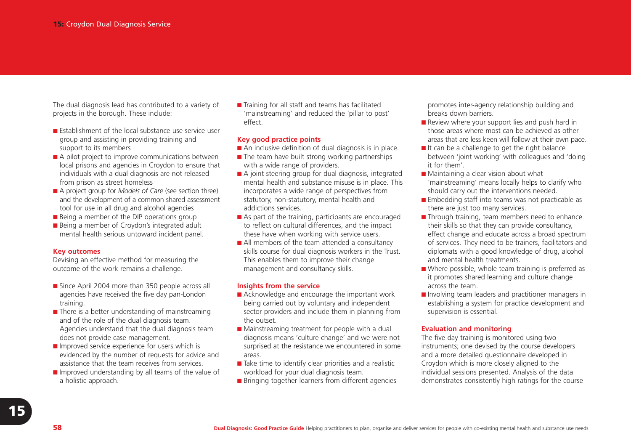The dual diagnosis lead has contributed to a variety of projects in the borough. These include:

- Establishment of the local substance use service user group and assisting in providing training and support to its members
- A pilot project to improve communications between local prisons and agencies in Croydon to ensure that individuals with a dual diagnosis are not released from prison as street homeless
- A project group for *Models of Care* (see section three) and the development of a common shared assessment tool for use in all drug and alcohol agencies
- Being a member of the DIP operations group
- Being a member of Croydon's integrated adult mental health serious untoward incident panel.

#### **Key outcomes**

Devising an effective method for measuring the outcome of the work remains a challenge.

- Since April 2004 more than 350 people across all agencies have received the five day pan-London training.
- There is a better understanding of mainstreaming and of the role of the dual diagnosis team. Agencies understand that the dual diagnosis team does not provide case management.
- Improved service experience for users which is evidenced by the number of requests for advice and assistance that the team receives from services.
- Improved understanding by all teams of the value of a holistic approach.

■ Training for all staff and teams has facilitated 'mainstreaming' and reduced the 'pillar to post' effect.

#### **Key good practice points**

- An inclusive definition of dual diagnosis is in place.
- $\blacksquare$  The team have built strong working partnerships with a wide range of providers.
- A joint steering group for dual diagnosis, integrated mental health and substance misuse is in place. This incorporates a wide range of perspectives from statutory, non-statutory, mental health and addictions services.
- As part of the training, participants are encouraged to reflect on cultural differences, and the impact these have when working with service users.
- All members of the team attended a consultancy skills course for dual diagnosis workers in the Trust. This enables them to improve their change management and consultancy skills.

#### **Insights from the service**

- Acknowledge and encourage the important work being carried out by voluntary and independent sector providers and include them in planning from the outset.
- Mainstreaming treatment for people with a dual diagnosis means 'culture change' and we were not surprised at the resistance we encountered in some areas.
- Take time to identify clear priorities and a realistic workload for your dual diagnosis team.
- Bringing together learners from different agencies

promotes inter-agency relationship building and breaks down barriers.

- Review where your support lies and push hard in those areas where most can be achieved as otherareas that are less keen will follow at their own pace.
- It can be a challenge to get the right balance between 'joint working' with colleagues and 'doing it for them'.
- Maintaining a clear vision about what 'mainstreaming' means locally helps to clarify who should carry out the interventions needed.
- Embedding staff into teams was not practicable as there are just too many services.
- Through training, team members need to enhance their skills so that they can provide consultancy, effect change and educate across a broad spectrum of services. They need to be trainers, facilitators and diplomats with a good knowledge of drug, alcohol and mental health treatments.
- Where possible, whole team training is preferred as it promotes shared learning and culture change across the team.
- Involving team leaders and practitioner managers in establishing a system for practice development and supervision is essential.

## **Evaluation and monitoring**

The five day training is monitored using two instruments; one devised by the course developers and a more detailed questionnaire developed in Croydon which is more closely aligned to the individual sessions presented. Analysis of the data demonstrates consistently high ratings for the course

**15**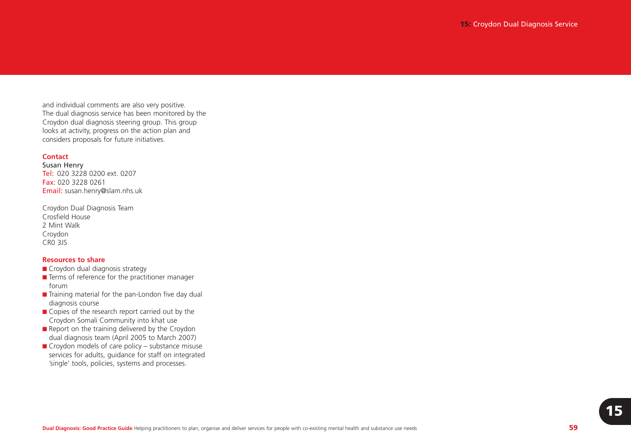and individual comments are also very positive. The dual diagnosis service has been monitored by the Croydon dual diagnosis steering group. This group looks at activity, progress on the action plan and considers proposals for future initiatives.

#### **Contact**

Susan Henry **Tel:** 020 3228 0200 ext. 0207 **Fax:** 020 3228 0261 Email: susan.henry@slam.nhs.uk

Croydon Dual Diagnosis Team Crosfield House2 Mint WalkCroydon CR0 3JS

#### **Resources to share**

- Croydon dual diagnosis strategy
- Terms of reference for the practitioner manager forum
- Training material for the pan-London five day dual diagnosis course
- Copies of the research report carried out by the Croydon Somali Community into khat use
- Report on the training delivered by the Croydon dual diagnosis team (April 2005 to March 2007)
- $\blacksquare$  Croydon models of care policy substance misuse services for adults, guidance for staff on integrated 'single' tools, policies, systems and processes.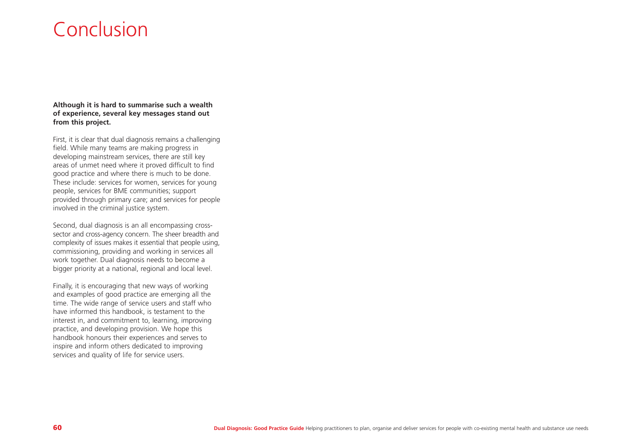# Conclusion

**Although it is hard to summarise such a wealth of experience, several key messages stand out from this project.** 

First, it is clear that dual diagnosis remains a challenging field. While many teams are making progress in developing mainstream services, there are still key areas of unmet need where it proved difficult to find good practice and where there is much to be done. These include: services for women, services for young people, services for BME communities; support provided through primary care; and services for people involved in the criminal justice system.

Second, dual diagnosis is an all encompassing crosssector and cross-agency concern. The sheer breadth and complexity of issues makes it essential that people using, commissioning, providing and working in services all work together. Dual diagnosis needs to become a bigger priority at a national, regional and local level.

Finally, it is encouraging that new ways of working and examples of good practice are emerging all the time. The wide range of service users and staff who have informed this handbook, is testament to the interest in, and commitment to, learning, improving practice, and developing provision. We hope this handbook honours their experiences and serves to inspire and inform others dedicated to improving services and quality of life for service users.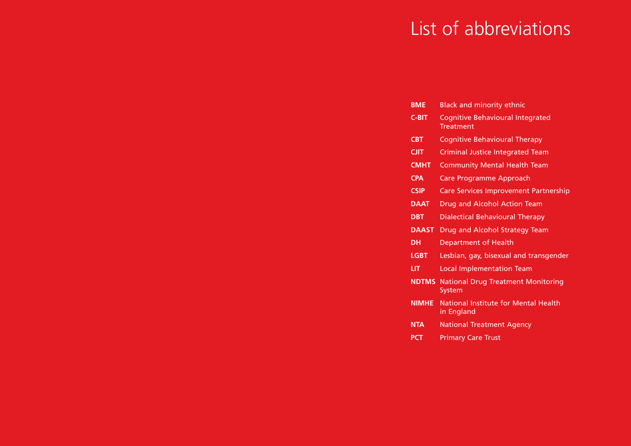# List of abbreviations

| <b>BME</b>   | <b>Black and minority ethnic</b>                            |
|--------------|-------------------------------------------------------------|
| <b>C-BIT</b> | <b>Cognitive Behavioural Integrated</b><br><b>Treatment</b> |
| <b>CBT</b>   | <b>Cognitive Behavioural Therapy</b>                        |
| <b>CJIT</b>  | <b>Criminal Justice Integrated Team</b>                     |
| <b>CMHT</b>  | <b>Community Mental Health Team</b>                         |
| <b>CPA</b>   | Care Programme Approach                                     |
| <b>CSIP</b>  | <b>Care Services Improvement Partnership</b>                |
| <b>DAAL</b>  | Drug and Alcohol Action Team                                |
| <b>DBT</b>   | <b>Dialectical Behavioural Therapy</b>                      |
| <b>DAAST</b> | Drug and Alcohol Strategy Team                              |
| DН           | <b>Department of Health</b>                                 |
| <b>LGBT</b>  | Lesbian, gay, bisexual and transgender                      |
| LIТ          | <b>Local Implementation Team</b>                            |
| <b>NDTMS</b> | <b>National Drug Treatment Monitoring</b><br>System         |
| <b>NIMHE</b> | <b>National Institute for Mental Health</b><br>in England   |
|              |                                                             |

- **NTA**National Treatment Agency
- **PCT**Primary Care Trust